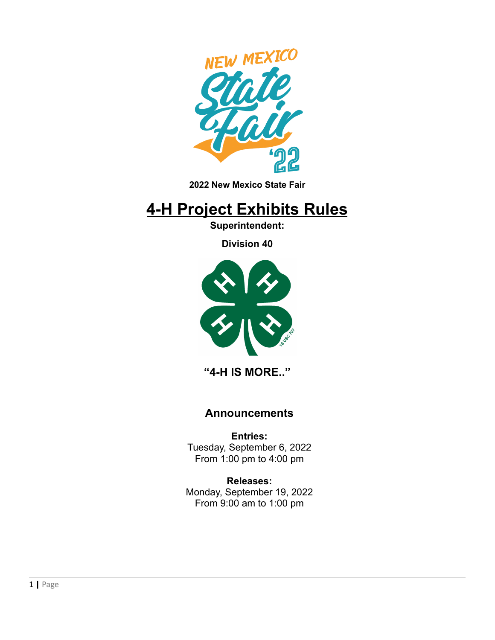

**2022 New Mexico State Fair**

# **4-H Project Exhibits Rules**

**Superintendent:**

**Division 40**



**"4-H IS MORE.."**

### **Announcements**

**Entries:** Tuesday, September 6, 2022 From 1:00 pm to 4:00 pm

**Releases:** Monday, September 19, 2022 From 9:00 am to 1:00 pm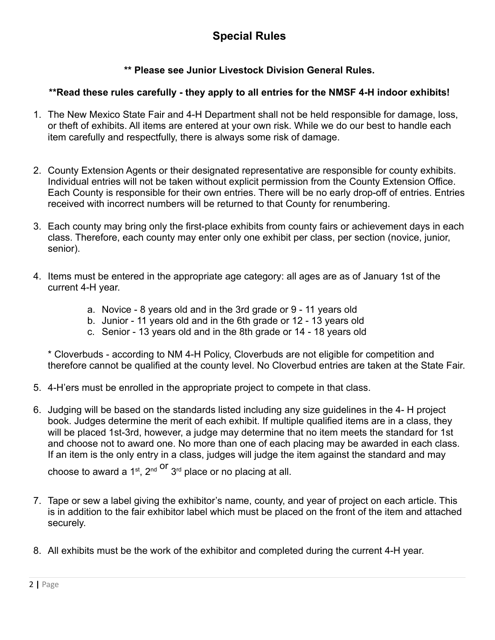### **\*\* Please see Junior Livestock Division General Rules.**

#### **\*\*Read these rules carefully - they apply to all entries for the NMSF 4-H indoor exhibits!**

- 1. The New Mexico State Fair and 4-H Department shall not be held responsible for damage, loss, or theft of exhibits. All items are entered at your own risk. While we do our best to handle each item carefully and respectfully, there is always some risk of damage.
- 2. County Extension Agents or their designated representative are responsible for county exhibits. Individual entries will not be taken without explicit permission from the County Extension Office. Each County is responsible for their own entries. There will be no early drop-off of entries. Entries received with incorrect numbers will be returned to that County for renumbering.
- 3. Each county may bring only the first-place exhibits from county fairs or achievement days in each class. Therefore, each county may enter only one exhibit per class, per section (novice, junior, senior).
- 4. Items must be entered in the appropriate age category: all ages are as of January 1st of the current 4-H year.
	- a. Novice 8 years old and in the 3rd grade or 9 11 years old
	- b. Junior 11 years old and in the 6th grade or 12 13 years old
	- c. Senior 13 years old and in the 8th grade or 14 18 years old

\* Cloverbuds - according to NM 4-H Policy, Cloverbuds are not eligible for competition and therefore cannot be qualified at the county level. No Cloverbud entries are taken at the State Fair.

- 5. 4-H'ers must be enrolled in the appropriate project to compete in that class.
- 6. Judging will be based on the standards listed including any size guidelines in the 4- H project book. Judges determine the merit of each exhibit. If multiple qualified items are in a class, they will be placed 1st-3rd, however, a judge may determine that no item meets the standard for 1st and choose not to award one. No more than one of each placing may be awarded in each class. If an item is the only entry in a class, judges will judge the item against the standard and may choose to award a 1<sup>st</sup>, 2<sup>nd Or</sup> 3<sup>rd</sup> place or no placing at all.
- 7. Tape or sew a label giving the exhibitor's name, county, and year of project on each article. This is in addition to the fair exhibitor label which must be placed on the front of the item and attached securely.
- 8. All exhibits must be the work of the exhibitor and completed during the current 4-H year.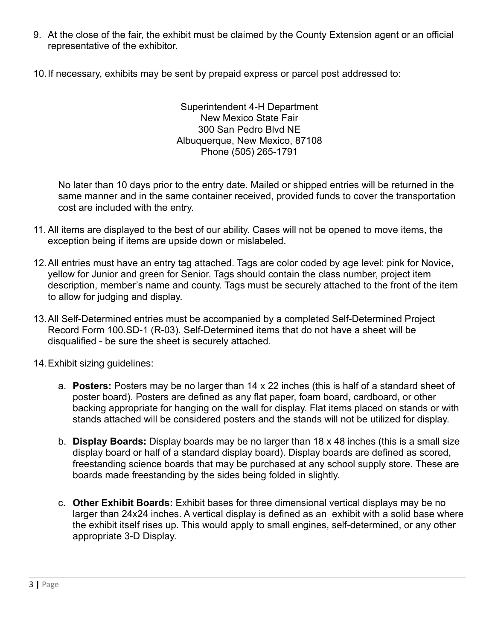- 9. At the close of the fair, the exhibit must be claimed by the County Extension agent or an official representative of the exhibitor.
- 10.If necessary, exhibits may be sent by prepaid express or parcel post addressed to:

Superintendent 4-H Department New Mexico State Fair 300 San Pedro Blvd NE Albuquerque, New Mexico, 87108 Phone (505) 265-1791

No later than 10 days prior to the entry date. Mailed or shipped entries will be returned in the same manner and in the same container received, provided funds to cover the transportation cost are included with the entry.

- 11. All items are displayed to the best of our ability. Cases will not be opened to move items, the exception being if items are upside down or mislabeled.
- 12.All entries must have an entry tag attached. Tags are color coded by age level: pink for Novice, yellow for Junior and green for Senior. Tags should contain the class number, project item description, member's name and county. Tags must be securely attached to the front of the item to allow for judging and display.
- 13.All Self-Determined entries must be accompanied by a completed Self-Determined Project Record Form 100.SD-1 (R-03). Self-Determined items that do not have a sheet will be disqualified - be sure the sheet is securely attached.
- 14.Exhibit sizing guidelines:
	- a. **Posters:** Posters may be no larger than 14 x 22 inches (this is half of a standard sheet of poster board). Posters are defined as any flat paper, foam board, cardboard, or other backing appropriate for hanging on the wall for display. Flat items placed on stands or with stands attached will be considered posters and the stands will not be utilized for display.
	- b. **Display Boards:** Display boards may be no larger than 18 x 48 inches (this is a small size display board or half of a standard display board). Display boards are defined as scored, freestanding science boards that may be purchased at any school supply store. These are boards made freestanding by the sides being folded in slightly.
	- c. **Other Exhibit Boards:** Exhibit bases for three dimensional vertical displays may be no larger than 24x24 inches. A vertical display is defined as an exhibit with a solid base where the exhibit itself rises up. This would apply to small engines, self-determined, or any other appropriate 3-D Display.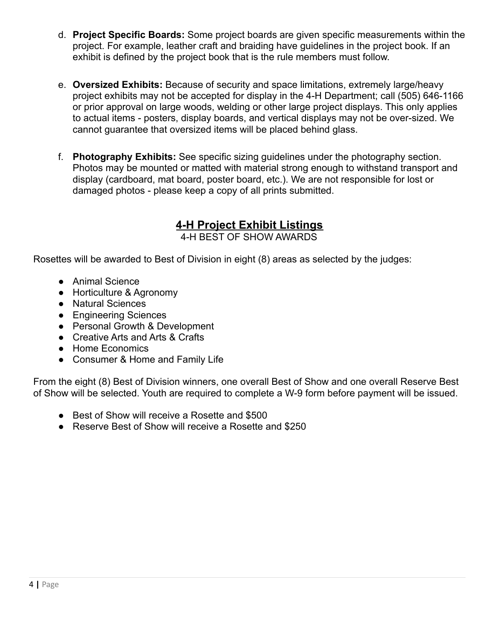- d. **Project Specific Boards:** Some project boards are given specific measurements within the project. For example, leather craft and braiding have guidelines in the project book. If an exhibit is defined by the project book that is the rule members must follow.
- e. **Oversized Exhibits:** Because of security and space limitations, extremely large/heavy project exhibits may not be accepted for display in the 4-H Department; call (505) 646-1166 or prior approval on large woods, welding or other large project displays. This only applies to actual items - posters, display boards, and vertical displays may not be over-sized. We cannot guarantee that oversized items will be placed behind glass.
- f. **Photography Exhibits:** See specific sizing guidelines under the photography section. Photos may be mounted or matted with material strong enough to withstand transport and display (cardboard, mat board, poster board, etc.). We are not responsible for lost or damaged photos - please keep a copy of all prints submitted.

## **4-H Project Exhibit Listings**

4-H BEST OF SHOW AWARDS

Rosettes will be awarded to Best of Division in eight (8) areas as selected by the judges:

- Animal Science
- Horticulture & Agronomy
- Natural Sciences
- Engineering Sciences
- Personal Growth & Development
- Creative Arts and Arts & Crafts
- Home Economics
- Consumer & Home and Family Life

From the eight (8) Best of Division winners, one overall Best of Show and one overall Reserve Best of Show will be selected. Youth are required to complete a W-9 form before payment will be issued.

- Best of Show will receive a Rosette and \$500
- Reserve Best of Show will receive a Rosette and \$250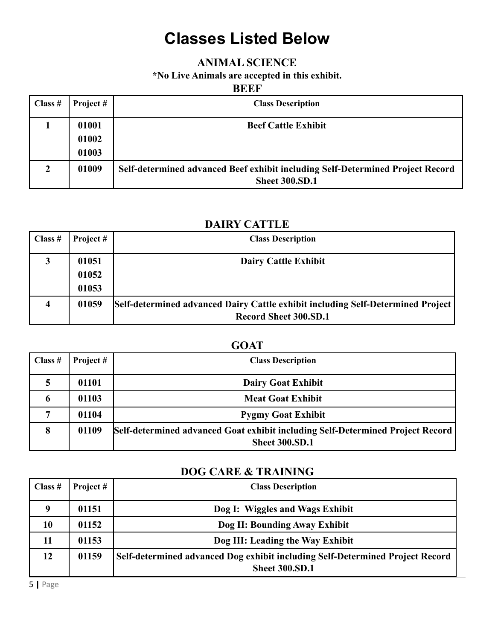# **Classes Listed Below**

### **ANIMAL SCIENCE**

**\*No Live Animals are accepted in this exhibit.**

#### **BEEF**

| Class $#$ | Project #      | <b>Class Description</b>                                                                                |
|-----------|----------------|---------------------------------------------------------------------------------------------------------|
|           | 01001<br>01002 | <b>Beef Cattle Exhibit</b>                                                                              |
|           | 01003          |                                                                                                         |
| 2         | 01009          | Self-determined advanced Beef exhibit including Self-Determined Project Record<br><b>Sheet 300.SD.1</b> |

### **DAIRY CATTLE**

| Class $#$               | Project # | <b>Class Description</b>                                                        |
|-------------------------|-----------|---------------------------------------------------------------------------------|
| 3                       | 01051     | <b>Dairy Cattle Exhibit</b>                                                     |
|                         | 01052     |                                                                                 |
|                         | 01053     |                                                                                 |
| $\overline{\mathbf{4}}$ | 01059     | Self-determined advanced Dairy Cattle exhibit including Self-Determined Project |
|                         |           | <b>Record Sheet 300.SD.1</b>                                                    |

### **GOAT**

| Class $#$ | Project# | <b>Class Description</b>                                                                                |
|-----------|----------|---------------------------------------------------------------------------------------------------------|
| 5         | 01101    | <b>Dairy Goat Exhibit</b>                                                                               |
| O         | 01103    | <b>Meat Goat Exhibit</b>                                                                                |
|           | 01104    | <b>Pygmy Goat Exhibit</b>                                                                               |
| 8         | 01109    | Self-determined advanced Goat exhibit including Self-Determined Project Record<br><b>Sheet 300.SD.1</b> |

### **DOG CARE & TRAINING**

| Class $#$   | Project # | <b>Class Description</b>                                                      |
|-------------|-----------|-------------------------------------------------------------------------------|
| $\mathbf 0$ | 01151     | Dog I: Wiggles and Wags Exhibit                                               |
| 10          | 01152     | Dog II: Bounding Away Exhibit                                                 |
| 11          | 01153     | Dog III: Leading the Way Exhibit                                              |
| 12          | 01159     | Self-determined advanced Dog exhibit including Self-Determined Project Record |
|             |           | <b>Sheet 300.SD.1</b>                                                         |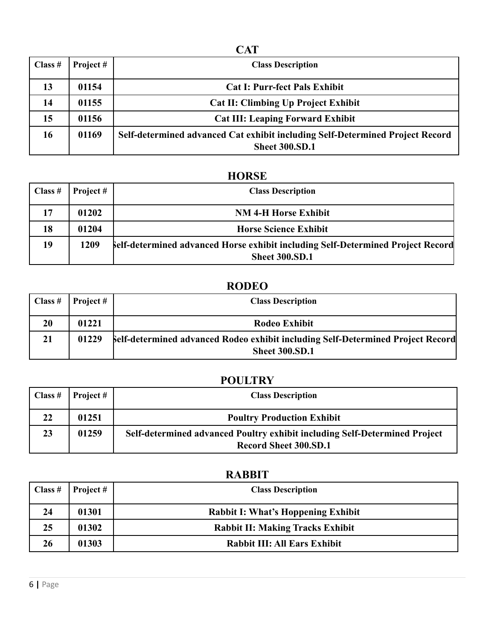| I       |  |  |
|---------|--|--|
| .,<br>v |  |  |

| Class $#$ | Project# | <b>Class Description</b>                                                                               |
|-----------|----------|--------------------------------------------------------------------------------------------------------|
| 13        | 01154    | <b>Cat I: Purr-fect Pals Exhibit</b>                                                                   |
| 14        | 01155    | <b>Cat II: Climbing Up Project Exhibit</b>                                                             |
| 15        | 01156    | <b>Cat III: Leaping Forward Exhibit</b>                                                                |
| 16        | 01169    | Self-determined advanced Cat exhibit including Self-Determined Project Record<br><b>Sheet 300.SD.1</b> |

## **HORSE**

| $\vert$ Class # | Project # | <b>Class Description</b>                                                                                        |
|-----------------|-----------|-----------------------------------------------------------------------------------------------------------------|
| 17              | 01202     | <b>NM 4-H Horse Exhibit</b>                                                                                     |
| 18              | 01204     | <b>Horse Science Exhibit</b>                                                                                    |
| 19              | 1209      | <b>Self-determined advanced Horse exhibit including Self-Determined Project Record</b><br><b>Sheet 300.SD.1</b> |

## **RODEO**

| Class # | Project # | <b>Class Description</b>                                                                                 |
|---------|-----------|----------------------------------------------------------------------------------------------------------|
| 20      | 01221     | Rodeo Exhibit                                                                                            |
| 21      | 01229     | Self-determined advanced Rodeo exhibit including Self-Determined Project Record<br><b>Sheet 300.SD.1</b> |

## **POULTRY**

| Class $#$ | Project $#$ | <b>Class Description</b>                                                                                   |
|-----------|-------------|------------------------------------------------------------------------------------------------------------|
| 22        | 01251       | <b>Poultry Production Exhibit</b>                                                                          |
| 23        | 01259       | Self-determined advanced Poultry exhibit including Self-Determined Project<br><b>Record Sheet 300.SD.1</b> |

## **RABBIT**

| Class $#$ | Project # | <b>Class Description</b>                  |
|-----------|-----------|-------------------------------------------|
| 24        | 01301     | <b>Rabbit I: What's Hoppening Exhibit</b> |
| 25        | 01302     | <b>Rabbit II: Making Tracks Exhibit</b>   |
| 26        | 01303     | <b>Rabbit III: All Ears Exhibit</b>       |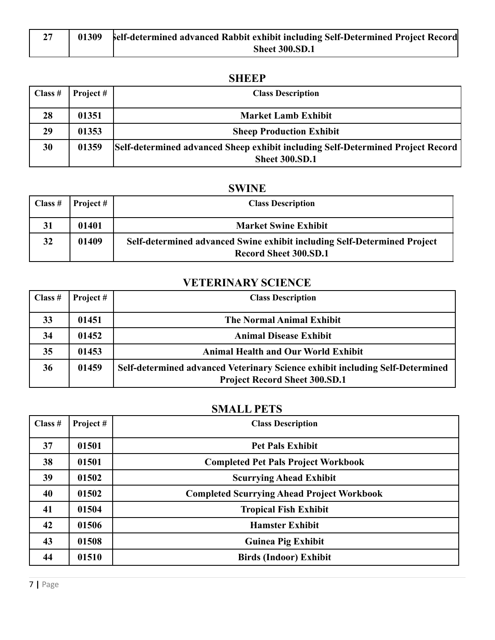| 01309 | belf-determined advanced Rabbit exhibit including Self-Determined Project Record |
|-------|----------------------------------------------------------------------------------|
|       | <b>Sheet 300.SD.1</b>                                                            |

## **SHEEP**

| Class $#$ | Project # | <b>Class Description</b>                                                        |
|-----------|-----------|---------------------------------------------------------------------------------|
| 28        | 01351     | <b>Market Lamb Exhibit</b>                                                      |
| 29        | 01353     | <b>Sheep Production Exhibit</b>                                                 |
| 30        | 01359     | Self-determined advanced Sheep exhibit including Self-Determined Project Record |
|           |           | <b>Sheet 300.SD.1</b>                                                           |

## **SWINE**

| Class $#$ | Project # | <b>Class Description</b>                                                                                 |
|-----------|-----------|----------------------------------------------------------------------------------------------------------|
| 31        | 01401     | <b>Market Swine Exhibit</b>                                                                              |
| 32        | 01409     | Self-determined advanced Swine exhibit including Self-Determined Project<br><b>Record Sheet 300.SD.1</b> |

## **VETERINARY SCIENCE**

| Class $#$ | Project # | <b>Class Description</b>                                                                                              |
|-----------|-----------|-----------------------------------------------------------------------------------------------------------------------|
| 33        | 01451     | <b>The Normal Animal Exhibit</b>                                                                                      |
| 34        | 01452     | <b>Animal Disease Exhibit</b>                                                                                         |
| 35        | 01453     | <b>Animal Health and Our World Exhibit</b>                                                                            |
| 36        | 01459     | Self-determined advanced Veterinary Science exhibit including Self-Determined<br><b>Project Record Sheet 300.SD.1</b> |

## **SMALL PETS**

| Class $#$ | Project# | <b>Class Description</b>                          |
|-----------|----------|---------------------------------------------------|
| 37        | 01501    | <b>Pet Pals Exhibit</b>                           |
| 38        | 01501    | <b>Completed Pet Pals Project Workbook</b>        |
| 39        | 01502    | <b>Scurrying Ahead Exhibit</b>                    |
| 40        | 01502    | <b>Completed Scurrying Ahead Project Workbook</b> |
| 41        | 01504    | <b>Tropical Fish Exhibit</b>                      |
| 42        | 01506    | <b>Hamster Exhibit</b>                            |
| 43        | 01508    | <b>Guinea Pig Exhibit</b>                         |
| 44        | 01510    | <b>Birds (Indoor) Exhibit</b>                     |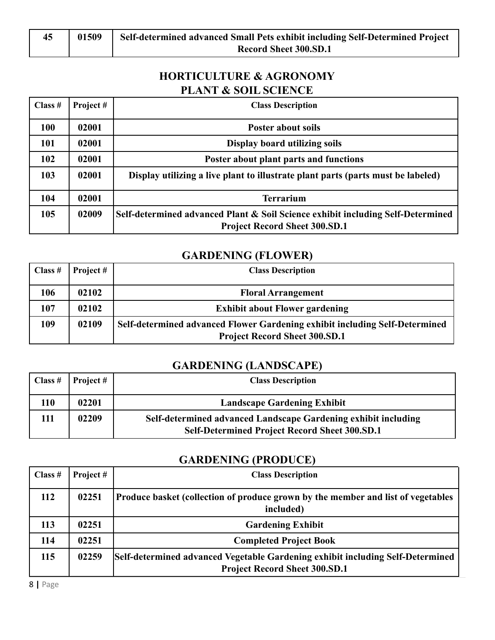## **HORTICULTURE & AGRONOMY PLANT & SOIL SCIENCE**

| Class $#$  | Project# | <b>Class Description</b>                                                                                                |
|------------|----------|-------------------------------------------------------------------------------------------------------------------------|
| <b>100</b> | 02001    | <b>Poster about soils</b>                                                                                               |
| 101        | 02001    | Display board utilizing soils                                                                                           |
| 102        | 02001    | Poster about plant parts and functions                                                                                  |
| 103        | 02001    | Display utilizing a live plant to illustrate plant parts (parts must be labeled)                                        |
| 104        | 02001    | <b>Terrarium</b>                                                                                                        |
| 105        | 02009    | Self-determined advanced Plant & Soil Science exhibit including Self-Determined<br><b>Project Record Sheet 300.SD.1</b> |

### **GARDENING (FLOWER)**

| Class $#$ | Project # | <b>Class Description</b>                                                                                            |
|-----------|-----------|---------------------------------------------------------------------------------------------------------------------|
| 106       | 02102     | <b>Floral Arrangement</b>                                                                                           |
| 107       | 02102     | <b>Exhibit about Flower gardening</b>                                                                               |
| 109       | 02109     | Self-determined advanced Flower Gardening exhibit including Self-Determined<br><b>Project Record Sheet 300.SD.1</b> |

## **GARDENING (LANDSCAPE)**

| Class $#$ | Project $#$ | <b>Class Description</b>                                                                                               |
|-----------|-------------|------------------------------------------------------------------------------------------------------------------------|
| 110       | 02201       | <b>Landscape Gardening Exhibit</b>                                                                                     |
| 11        | 02209       | Self-determined advanced Landscape Gardening exhibit including<br><b>Self-Determined Project Record Sheet 300.SD.1</b> |

#### **GARDENING (PRODUCE)**

| Class $#$ | Project # | <b>Class Description</b>                                                                                               |
|-----------|-----------|------------------------------------------------------------------------------------------------------------------------|
| 112       | 02251     | Produce basket (collection of produce grown by the member and list of vegetables<br>included)                          |
| 113       | 02251     | <b>Gardening Exhibit</b>                                                                                               |
| 114       | 02251     | <b>Completed Project Book</b>                                                                                          |
| 115       | 02259     | Self-determined advanced Vegetable Gardening exhibit including Self-Determined<br><b>Project Record Sheet 300.SD.1</b> |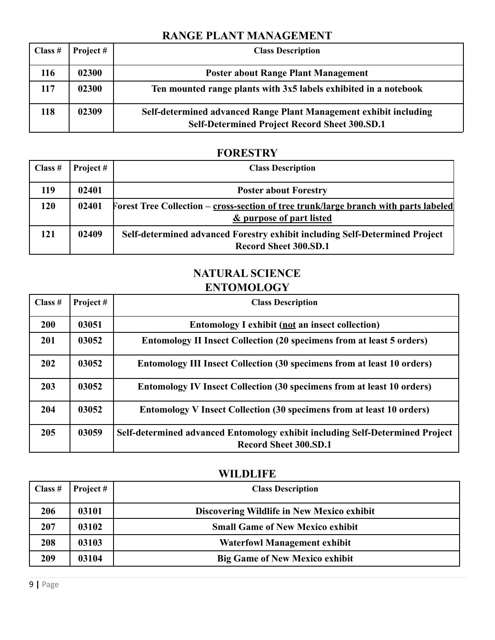### **RANGE PLANT MANAGEMENT**

| Class $#$ | Project # | <b>Class Description</b>                                                                                                  |
|-----------|-----------|---------------------------------------------------------------------------------------------------------------------------|
| 116       | 02300     | <b>Poster about Range Plant Management</b>                                                                                |
| 117       | 02300     | Ten mounted range plants with 3x5 labels exhibited in a notebook                                                          |
| 118       | 02309     | Self-determined advanced Range Plant Management exhibit including<br><b>Self-Determined Project Record Sheet 300.SD.1</b> |

### **FORESTRY**

| Class $#$ | Project # | <b>Class Description</b>                                                                                                    |
|-----------|-----------|-----------------------------------------------------------------------------------------------------------------------------|
| 119       | 02401     | <b>Poster about Forestry</b>                                                                                                |
| 120       | 02401     | Forest Tree Collection – cross-section of tree trunk/large branch with parts labeled<br><u>&amp; purpose of part listed</u> |
| 121       | 02409     | Self-determined advanced Forestry exhibit including Self-Determined Project<br><b>Record Sheet 300.SD.1</b>                 |

## **NATURAL SCIENCE ENTOMOLOGY**

| Class $#$ | Project# | <b>Class Description</b>                                                                                      |
|-----------|----------|---------------------------------------------------------------------------------------------------------------|
| 200       | 03051    | <b>Entomology I exhibit (not an insect collection)</b>                                                        |
| 201       | 03052    | <b>Entomology II Insect Collection (20 specimens from at least 5 orders)</b>                                  |
| 202       | 03052    | <b>Entomology III Insect Collection (30 specimens from at least 10 orders)</b>                                |
| 203       | 03052    | <b>Entomology IV Insect Collection (30 specimens from at least 10 orders)</b>                                 |
| 204       | 03052    | <b>Entomology V Insect Collection (30 specimens from at least 10 orders)</b>                                  |
| 205       | 03059    | Self-determined advanced Entomology exhibit including Self-Determined Project<br><b>Record Sheet 300.SD.1</b> |

### **WILDLIFE**

| Class $#$ | Project # | <b>Class Description</b>                   |
|-----------|-----------|--------------------------------------------|
| 206       | 03101     | Discovering Wildlife in New Mexico exhibit |
| 207       | 03102     | <b>Small Game of New Mexico exhibit</b>    |
| 208       | 03103     | <b>Waterfowl Management exhibit</b>        |
| 209       | 03104     | <b>Big Game of New Mexico exhibit</b>      |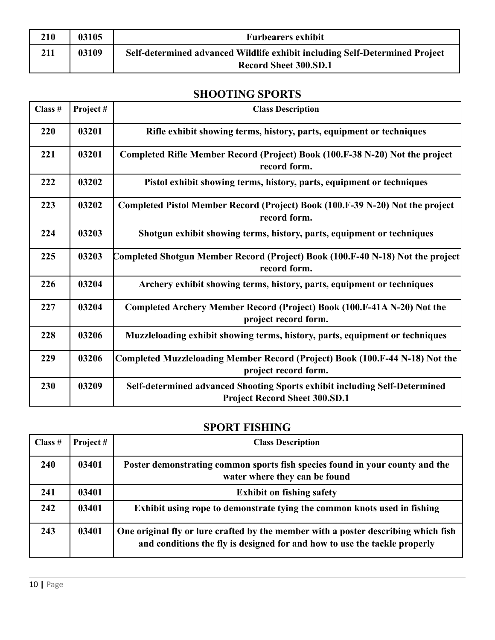| 210 | 03105 | <b>Furbearers exhibit</b>                                                                                   |
|-----|-------|-------------------------------------------------------------------------------------------------------------|
| 211 | 03109 | Self-determined advanced Wildlife exhibit including Self-Determined Project<br><b>Record Sheet 300.SD.1</b> |

## **SHOOTING SPORTS**

| Class # | Project# | <b>Class Description</b>                                                                                           |
|---------|----------|--------------------------------------------------------------------------------------------------------------------|
| 220     | 03201    | Rifle exhibit showing terms, history, parts, equipment or techniques                                               |
| 221     | 03201    | Completed Rifle Member Record (Project) Book (100.F-38 N-20) Not the project<br>record form.                       |
| 222     | 03202    | Pistol exhibit showing terms, history, parts, equipment or techniques                                              |
| 223     | 03202    | Completed Pistol Member Record (Project) Book (100.F-39 N-20) Not the project<br>record form.                      |
| 224     | 03203    | Shotgun exhibit showing terms, history, parts, equipment or techniques                                             |
| 225     | 03203    | Completed Shotgun Member Record (Project) Book (100.F-40 N-18) Not the project <br>record form.                    |
| 226     | 03204    | Archery exhibit showing terms, history, parts, equipment or techniques                                             |
| 227     | 03204    | Completed Archery Member Record (Project) Book (100.F-41A N-20) Not the<br>project record form.                    |
| 228     | 03206    | Muzzleloading exhibit showing terms, history, parts, equipment or techniques                                       |
| 229     | 03206    | Completed Muzzleloading Member Record (Project) Book (100.F-44 N-18) Not the<br>project record form.               |
| 230     | 03209    | Self-determined advanced Shooting Sports exhibit including Self-Determined<br><b>Project Record Sheet 300.SD.1</b> |

## **SPORT FISHING**

| Class $#$  | Project # | <b>Class Description</b>                                                                                                                                        |
|------------|-----------|-----------------------------------------------------------------------------------------------------------------------------------------------------------------|
| <b>240</b> | 03401     | Poster demonstrating common sports fish species found in your county and the<br>water where they can be found                                                   |
| 241        | 03401     | <b>Exhibit on fishing safety</b>                                                                                                                                |
| 242        | 03401     | Exhibit using rope to demonstrate tying the common knots used in fishing                                                                                        |
| 243        | 03401     | One original fly or lure crafted by the member with a poster describing which fish<br>and conditions the fly is designed for and how to use the tackle properly |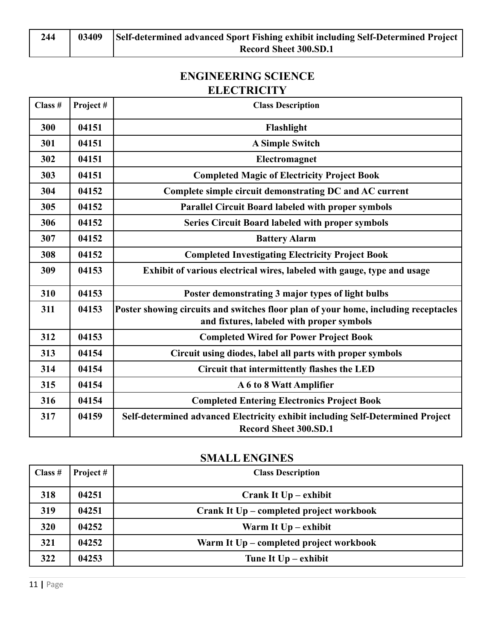## **ENGINEERING SCIENCE ELECTRICITY**

| Class # | Project# | <b>Class Description</b>                                                                                                         |
|---------|----------|----------------------------------------------------------------------------------------------------------------------------------|
| 300     | 04151    | Flashlight                                                                                                                       |
| 301     | 04151    | <b>A Simple Switch</b>                                                                                                           |
| 302     | 04151    | Electromagnet                                                                                                                    |
| 303     | 04151    | <b>Completed Magic of Electricity Project Book</b>                                                                               |
| 304     | 04152    | Complete simple circuit demonstrating DC and AC current                                                                          |
| 305     | 04152    | <b>Parallel Circuit Board labeled with proper symbols</b>                                                                        |
| 306     | 04152    | <b>Series Circuit Board labeled with proper symbols</b>                                                                          |
| 307     | 04152    | <b>Battery Alarm</b>                                                                                                             |
| 308     | 04152    | <b>Completed Investigating Electricity Project Book</b>                                                                          |
| 309     | 04153    | Exhibit of various electrical wires, labeled with gauge, type and usage                                                          |
| 310     | 04153    | Poster demonstrating 3 major types of light bulbs                                                                                |
| 311     | 04153    | Poster showing circuits and switches floor plan of your home, including receptacles<br>and fixtures, labeled with proper symbols |
| 312     | 04153    | <b>Completed Wired for Power Project Book</b>                                                                                    |
| 313     | 04154    | Circuit using diodes, label all parts with proper symbols                                                                        |
| 314     | 04154    | Circuit that intermittently flashes the LED                                                                                      |
| 315     | 04154    | A 6 to 8 Watt Amplifier                                                                                                          |
| 316     | 04154    | <b>Completed Entering Electronics Project Book</b>                                                                               |
| 317     | 04159    | Self-determined advanced Electricity exhibit including Self-Determined Project<br><b>Record Sheet 300.SD.1</b>                   |

#### **SMALL ENGINES**

| Class $#$ | Project # | <b>Class Description</b>                 |
|-----------|-----------|------------------------------------------|
| 318       | 04251     | Crank It $Up - exhibit$                  |
| 319       | 04251     | Crank It Up – completed project workbook |
| 320       | 04252     | Warm It $Up - exhibit$                   |
| 321       | 04252     | Warm It Up – completed project workbook  |
| 322       | 04253     | Tune It $Up - exhibit$                   |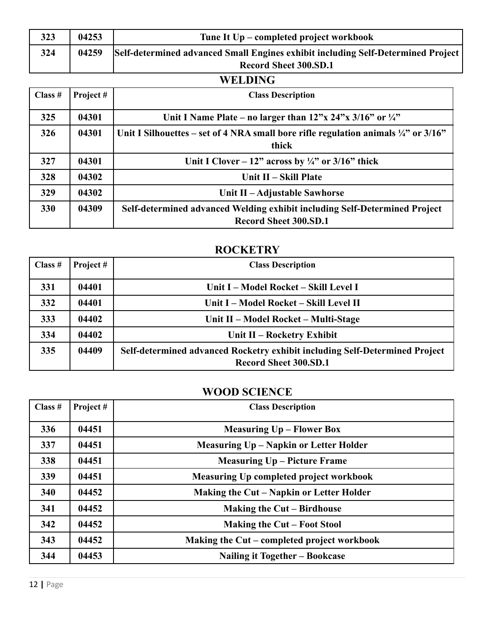| 323 | 04253 | Tune It Up – completed project workbook                                          |
|-----|-------|----------------------------------------------------------------------------------|
| 324 | 04259 | Self-determined advanced Small Engines exhibit including Self-Determined Project |
|     |       | Record Sheet 300.SD.1                                                            |

## **WELDING**

| Class $#$  | Project # | <b>Class Description</b>                                                                                                             |
|------------|-----------|--------------------------------------------------------------------------------------------------------------------------------------|
| 325        | 04301     | Unit I Name Plate – no larger than $12^{\prime\prime}$ x $24^{\prime\prime}$ x $3/16^{\prime\prime}$ or $\frac{1}{4}^{\prime\prime}$ |
| 326        | 04301     | Unit I Silhouettes – set of 4 NRA small bore rifle regulation animals $\frac{1}{4}$ " or 3/16"<br>thick                              |
| 327        | 04301     | Unit I Clover – 12" across by $\frac{1}{4}$ " or 3/16" thick                                                                         |
| 328        | 04302     | Unit II – Skill Plate                                                                                                                |
| 329        | 04302     | Unit II – Adjustable Sawhorse                                                                                                        |
| <b>330</b> | 04309     | Self-determined advanced Welding exhibit including Self-Determined Project<br><b>Record Sheet 300.SD.1</b>                           |

#### **ROCKETRY**

| Class $#$ | Project# | <b>Class Description</b>                                                                                    |
|-----------|----------|-------------------------------------------------------------------------------------------------------------|
| 331       | 04401    | Unit I - Model Rocket - Skill Level I                                                                       |
| 332       | 04401    | Unit I - Model Rocket - Skill Level II                                                                      |
| 333       | 04402    | Unit II – Model Rocket – Multi-Stage                                                                        |
| 334       | 04402    | Unit II – Rocketry Exhibit                                                                                  |
| 335       | 04409    | Self-determined advanced Rocketry exhibit including Self-Determined Project<br><b>Record Sheet 300.SD.1</b> |

## **WOOD SCIENCE**

| Class # | Project# | <b>Class Description</b>                    |
|---------|----------|---------------------------------------------|
| 336     | 04451    | <b>Measuring Up – Flower Box</b>            |
| 337     | 04451    | Measuring Up - Napkin or Letter Holder      |
| 338     | 04451    | <b>Measuring Up – Picture Frame</b>         |
| 339     | 04451    | Measuring Up completed project workbook     |
| 340     | 04452    | Making the Cut – Napkin or Letter Holder    |
| 341     | 04452    | <b>Making the Cut – Birdhouse</b>           |
| 342     | 04452    | Making the Cut – Foot Stool                 |
| 343     | 04452    | Making the Cut – completed project workbook |
| 344     | 04453    | Nailing it Together – Bookcase              |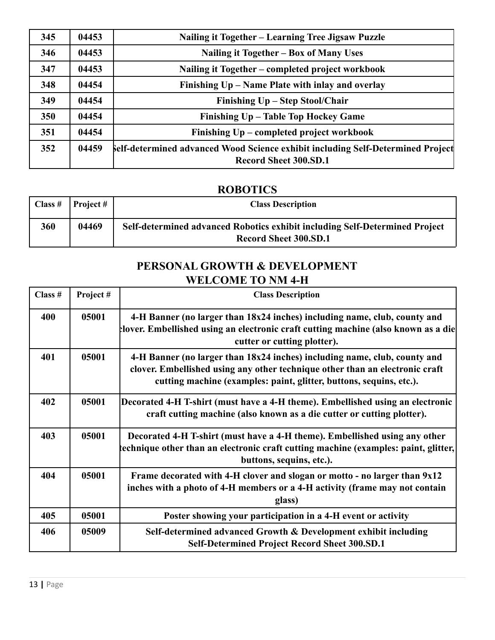| 345 | 04453 | Nailing it Together - Learning Tree Jigsaw Puzzle                                                               |
|-----|-------|-----------------------------------------------------------------------------------------------------------------|
| 346 | 04453 | Nailing it Together – Box of Many Uses                                                                          |
| 347 | 04453 | Nailing it Together - completed project workbook                                                                |
| 348 | 04454 | Finishing Up - Name Plate with inlay and overlay                                                                |
| 349 | 04454 | Finishing Up – Step Stool/Chair                                                                                 |
| 350 | 04454 | Finishing Up - Table Top Hockey Game                                                                            |
| 351 | 04454 | Finishing Up – completed project workbook                                                                       |
| 352 | 04459 | Self-determined advanced Wood Science exhibit including Self-Determined Project<br><b>Record Sheet 300.SD.1</b> |

## **ROBOTICS**

| Class $#$ | Project # | <b>Class Description</b>                                                                                    |
|-----------|-----------|-------------------------------------------------------------------------------------------------------------|
| 360       | 04469     | Self-determined advanced Robotics exhibit including Self-Determined Project<br><b>Record Sheet 300.SD.1</b> |

## **PERSONAL GROWTH & DEVELOPMENT WELCOME TO NM 4-H**

| Class # | Project# | <b>Class Description</b>                                                                                                                                                                                                         |
|---------|----------|----------------------------------------------------------------------------------------------------------------------------------------------------------------------------------------------------------------------------------|
| 400     | 05001    | 4-H Banner (no larger than 18x24 inches) including name, club, county and<br>Hover. Embellished using an electronic craft cutting machine (also known as a die<br>cutter or cutting plotter).                                    |
| 401     | 05001    | 4-H Banner (no larger than 18x24 inches) including name, club, county and<br>clover. Embellished using any other technique other than an electronic craft<br>cutting machine (examples: paint, glitter, buttons, sequins, etc.). |
| 402     | 05001    | Decorated 4-H T-shirt (must have a 4-H theme). Embellished using an electronic<br>craft cutting machine (also known as a die cutter or cutting plotter).                                                                         |
| 403     | 05001    | Decorated 4-H T-shirt (must have a 4-H theme). Embellished using any other<br>echnique other than an electronic craft cutting machine (examples: paint, glitter,<br>buttons, sequins, etc.).                                     |
| 404     | 05001    | Frame decorated with 4-H clover and slogan or motto - no larger than 9x12<br>inches with a photo of 4-H members or a 4-H activity (frame may not contain<br>glass)                                                               |
| 405     | 05001    | Poster showing your participation in a 4-H event or activity                                                                                                                                                                     |
| 406     | 05009    | Self-determined advanced Growth & Development exhibit including<br><b>Self-Determined Project Record Sheet 300.SD.1</b>                                                                                                          |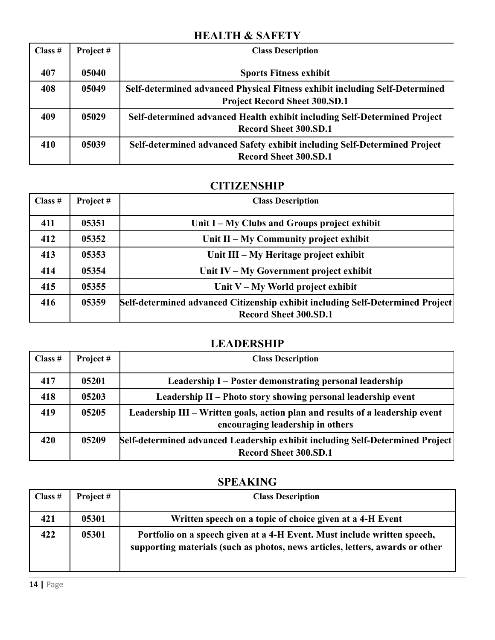### **HEALTH & SAFETY**

| Class # | Project# | <b>Class Description</b>                                                                                            |
|---------|----------|---------------------------------------------------------------------------------------------------------------------|
| 407     | 05040    | <b>Sports Fitness exhibit</b>                                                                                       |
| 408     | 05049    | Self-determined advanced Physical Fitness exhibit including Self-Determined<br><b>Project Record Sheet 300.SD.1</b> |
| 409     | 05029    | Self-determined advanced Health exhibit including Self-Determined Project<br><b>Record Sheet 300.SD.1</b>           |
| 410     | 05039    | Self-determined advanced Safety exhibit including Self-Determined Project<br><b>Record Sheet 300.SD.1</b>           |

#### **CITIZENSHIP**

| Class $#$ | Project# | <b>Class Description</b>                                                                                         |
|-----------|----------|------------------------------------------------------------------------------------------------------------------|
| 411       | 05351    | Unit I – My Clubs and Groups project exhibit                                                                     |
| 412       | 05352    | Unit II – My Community project exhibit                                                                           |
| 413       | 05353    | Unit III – My Heritage project exhibit                                                                           |
| 414       | 05354    | Unit $IV - My Government project exhibit$                                                                        |
| 415       | 05355    | Unit $V - My$ World project exhibit                                                                              |
| 416       | 05359    | [Self-determined advanced Citizenship exhibit including Self-Determined Project]<br><b>Record Sheet 300.SD.1</b> |

## **LEADERSHIP**

| Class $#$ | Project # | <b>Class Description</b>                                                                                          |
|-----------|-----------|-------------------------------------------------------------------------------------------------------------------|
| 417       | 05201     | Leadership I – Poster demonstrating personal leadership                                                           |
| 418       | 05203     | Leadership II - Photo story showing personal leadership event                                                     |
| 419       | 05205     | Leadership III – Written goals, action plan and results of a leadership event<br>encouraging leadership in others |
| 420       | 05209     | Self-determined advanced Leadership exhibit including Self-Determined Project<br><b>Record Sheet 300.SD.1</b>     |

| Class $#$ | Project# | <b>Class Description</b>                                                                                                                                  |
|-----------|----------|-----------------------------------------------------------------------------------------------------------------------------------------------------------|
| 421       | 05301    | Written speech on a topic of choice given at a 4-H Event                                                                                                  |
| 422       | 05301    | Portfolio on a speech given at a 4-H Event. Must include written speech,<br>supporting materials (such as photos, news articles, letters, awards or other |

## **SPEAKING**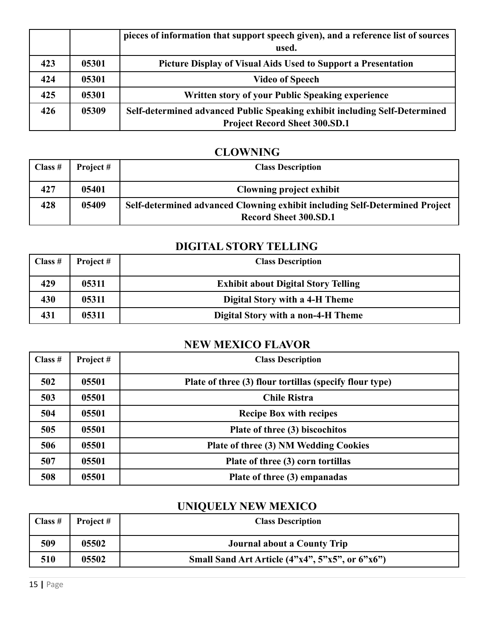|     |       | pieces of information that support speech given), and a reference list of sources<br>used. |
|-----|-------|--------------------------------------------------------------------------------------------|
| 423 | 05301 | Picture Display of Visual Aids Used to Support a Presentation                              |
| 424 | 05301 | <b>Video of Speech</b>                                                                     |
| 425 | 05301 | Written story of your Public Speaking experience                                           |
| 426 | 05309 | Self-determined advanced Public Speaking exhibit including Self-Determined                 |
|     |       | <b>Project Record Sheet 300.SD.1</b>                                                       |

#### **CLOWNING**

| Class $#$ | Project# | <b>Class Description</b>                                                                                    |
|-----------|----------|-------------------------------------------------------------------------------------------------------------|
| 427       | 05401    | Clowning project exhibit                                                                                    |
| 428       | 05409    | Self-determined advanced Clowning exhibit including Self-Determined Project<br><b>Record Sheet 300.SD.1</b> |

### **DIGITAL STORY TELLING**

| Class $#$ | Project # | <b>Class Description</b>                   |
|-----------|-----------|--------------------------------------------|
| 429       | 05311     | <b>Exhibit about Digital Story Telling</b> |
| 430       | 05311     | Digital Story with a 4-H Theme             |
| 431       | 05311     | Digital Story with a non-4-H Theme         |

## **NEW MEXICO FLAVOR**

| Class # | Project# | <b>Class Description</b>                                |
|---------|----------|---------------------------------------------------------|
| 502     | 05501    | Plate of three (3) flour tortillas (specify flour type) |
| 503     | 05501    | <b>Chile Ristra</b>                                     |
| 504     | 05501    | <b>Recipe Box with recipes</b>                          |
| 505     | 05501    | Plate of three (3) biscochitos                          |
| 506     | 05501    | Plate of three (3) NM Wedding Cookies                   |
| 507     | 05501    | Plate of three (3) corn tortillas                       |
| 508     | 05501    | Plate of three (3) empanadas                            |

# **UNIQUELY NEW MEXICO**

| Class $#$ | Project # | <b>Class Description</b>                          |
|-----------|-----------|---------------------------------------------------|
| 509       | 05502     | Journal about a County Trip                       |
| 510       | 05502     | Small Sand Art Article $(4"x4", 5"x5", or 6"x6")$ |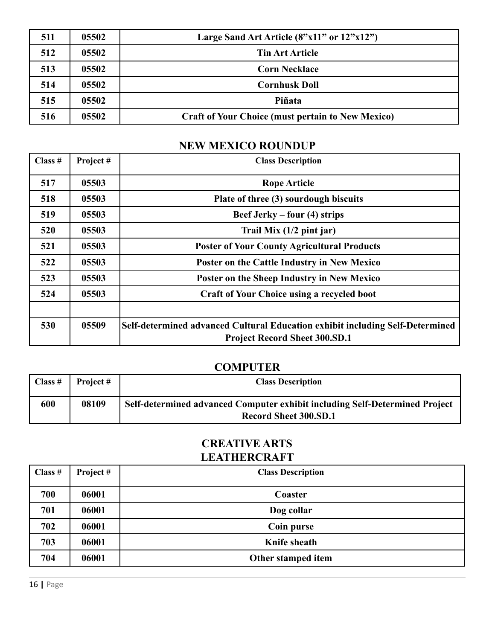| 511 | 05502 | Large Sand Art Article $(8"x11"$ or $12"x12")$           |
|-----|-------|----------------------------------------------------------|
| 512 | 05502 | <b>Tin Art Article</b>                                   |
| 513 | 05502 | <b>Corn Necklace</b>                                     |
| 514 | 05502 | <b>Cornhusk Doll</b>                                     |
| 515 | 05502 | Piñata                                                   |
| 516 | 05502 | <b>Craft of Your Choice (must pertain to New Mexico)</b> |

## **NEW MEXICO ROUNDUP**

| Class $#$ | Project# | <b>Class Description</b>                                                                                              |
|-----------|----------|-----------------------------------------------------------------------------------------------------------------------|
| 517       | 05503    | <b>Rope Article</b>                                                                                                   |
| 518       | 05503    | Plate of three (3) sourdough biscuits                                                                                 |
| 519       | 05503    | Beef Jerky – four (4) strips                                                                                          |
| 520       | 05503    | Trail Mix $(1/2$ pint jar)                                                                                            |
| 521       | 05503    | <b>Poster of Your County Agricultural Products</b>                                                                    |
| 522       | 05503    | Poster on the Cattle Industry in New Mexico                                                                           |
| 523       | 05503    | Poster on the Sheep Industry in New Mexico                                                                            |
| 524       | 05503    | <b>Craft of Your Choice using a recycled boot</b>                                                                     |
|           |          |                                                                                                                       |
| 530       | 05509    | Self-determined advanced Cultural Education exhibit including Self-Determined<br><b>Project Record Sheet 300.SD.1</b> |

## **COMPUTER**

| Class $#$ | Project # | <b>Class Description</b>                                                                                    |
|-----------|-----------|-------------------------------------------------------------------------------------------------------------|
| 600       | 08109     | Self-determined advanced Computer exhibit including Self-Determined Project<br><b>Record Sheet 300.SD.1</b> |

## **CREATIVE ARTS LEATHERCRAFT**

| Class $#$ | Project # | <b>Class Description</b> |
|-----------|-----------|--------------------------|
| 700       | 06001     | Coaster                  |
| 701       | 06001     | Dog collar               |
| 702       | 06001     | Coin purse               |
| 703       | 06001     | Knife sheath             |
| 704       | 06001     | Other stamped item       |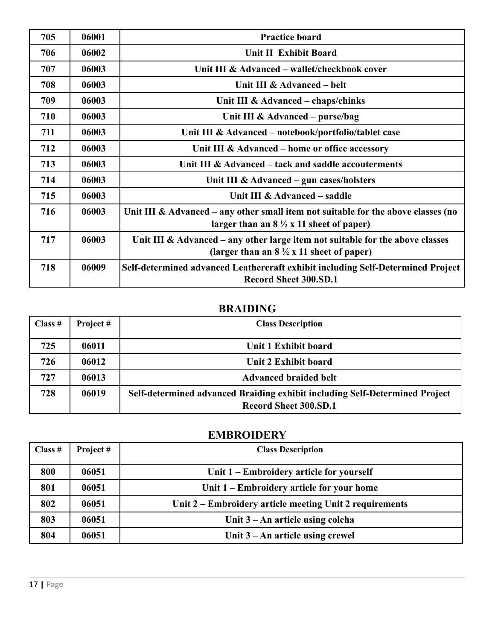| 705 | 06001 | <b>Practice board</b>                                                                                                                   |
|-----|-------|-----------------------------------------------------------------------------------------------------------------------------------------|
| 706 | 06002 | <b>Unit II Exhibit Board</b>                                                                                                            |
| 707 | 06003 | Unit III & Advanced – wallet/checkbook cover                                                                                            |
| 708 | 06003 | Unit III & Advanced – belt                                                                                                              |
| 709 | 06003 | Unit III & Advanced – chaps/chinks                                                                                                      |
| 710 | 06003 | Unit III & Advanced – purse/bag                                                                                                         |
| 711 | 06003 | Unit III & Advanced - notebook/portfolio/tablet case                                                                                    |
| 712 | 06003 | Unit III & Advanced – home or office accessory                                                                                          |
| 713 | 06003 | Unit III & Advanced – tack and saddle accouterments                                                                                     |
| 714 | 06003 | Unit III & Advanced $-$ gun cases/holsters                                                                                              |
| 715 | 06003 | Unit III & Advanced – saddle                                                                                                            |
| 716 | 06003 | Unit III & Advanced – any other small item not suitable for the above classes (no<br>larger than an $8\frac{1}{2}x$ 11 sheet of paper)  |
| 717 | 06003 | Unit III $\&$ Advanced – any other large item not suitable for the above classes<br>(larger than an $8\frac{1}{2}$ x 11 sheet of paper) |
| 718 | 06009 | Self-determined advanced Leathercraft exhibit including Self-Determined Project<br><b>Record Sheet 300.SD.1</b>                         |

## **BRAIDING**

| Class $#$ | Project # | <b>Class Description</b>                                                                                    |
|-----------|-----------|-------------------------------------------------------------------------------------------------------------|
| 725       | 06011     | Unit 1 Exhibit board                                                                                        |
| 726       | 06012     | Unit 2 Exhibit board                                                                                        |
| 727       | 06013     | <b>Advanced braided belt</b>                                                                                |
| 728       | 06019     | Self-determined advanced Braiding exhibit including Self-Determined Project<br><b>Record Sheet 300.SD.1</b> |

## **EMBROIDERY**

| Class $#$ | Project # | <b>Class Description</b>                                |
|-----------|-----------|---------------------------------------------------------|
| 800       | 06051     | Unit 1 – Embroidery article for yourself                |
| 801       | 06051     | Unit 1 – Embroidery article for your home               |
| 802       | 06051     | Unit 2 – Embroidery article meeting Unit 2 requirements |
| 803       | 06051     | Unit $3 - An$ article using colcha                      |
| 804       | 06051     | Unit $3 - An$ article using crewel                      |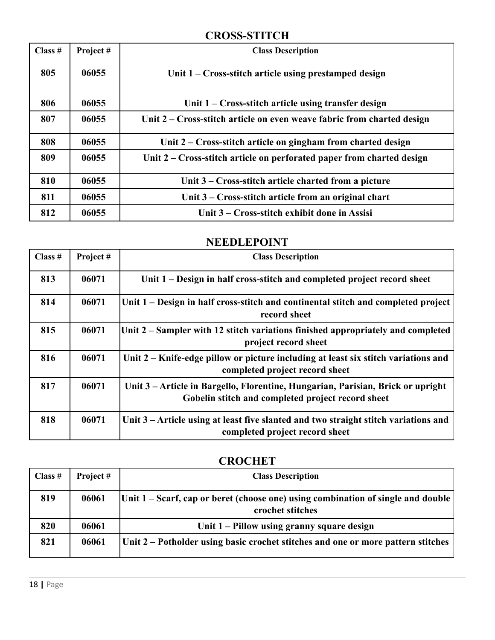### **CROSS-STITCH**

| Class # | Project# | <b>Class Description</b>                                               |
|---------|----------|------------------------------------------------------------------------|
| 805     | 06055    | Unit $1 - Cross-stitch$ article using prestamped design                |
| 806     | 06055    | Unit $1 -$ Cross-stitch article using transfer design                  |
| 807     | 06055    | Unit 2 – Cross-stitch article on even weave fabric from charted design |
| 808     | 06055    | Unit 2 – Cross-stitch article on gingham from charted design           |
| 809     | 06055    | Unit 2 – Cross-stitch article on perforated paper from charted design  |
| 810     | 06055    | Unit 3 – Cross-stitch article charted from a picture                   |
| 811     | 06055    | Unit 3 – Cross-stitch article from an original chart                   |
| 812     | 06055    | Unit 3 – Cross-stitch exhibit done in Assisi                           |

## **NEEDLEPOINT**

| Class $#$ | Project# | <b>Class Description</b>                                                                                                             |
|-----------|----------|--------------------------------------------------------------------------------------------------------------------------------------|
| 813       | 06071    | Unit 1 – Design in half cross-stitch and completed project record sheet                                                              |
| 814       | 06071    | $ Unit 1 - Design in half cross-stitch and continental stitch and completed project$<br>record sheet                                 |
| 815       | 06071    | Unit 2 – Sampler with 12 stitch variations finished appropriately and completed<br>project record sheet                              |
| 816       | 06071    | Unit 2 – Knife-edge pillow or picture including at least six stitch variations and<br>completed project record sheet                 |
| 817       | 06071    | Unit 3 – Article in Bargello, Florentine, Hungarian, Parisian, Brick or upright<br>Gobelin stitch and completed project record sheet |
| 818       | 06071    | Unit 3 – Article using at least five slanted and two straight stitch variations and<br>completed project record sheet                |

## **CROCHET**

| Class $#$ | Project # | <b>Class Description</b>                                                                               |
|-----------|-----------|--------------------------------------------------------------------------------------------------------|
| 819       | 06061     | Unit 1 – Scarf, cap or beret (choose one) using combination of single and double  <br>crochet stitches |
| 820       | 06061     | Unit 1 – Pillow using granny square design                                                             |
| 821       | 06061     | Unit $2$ – Potholder using basic crochet stitches and one or more pattern stitches                     |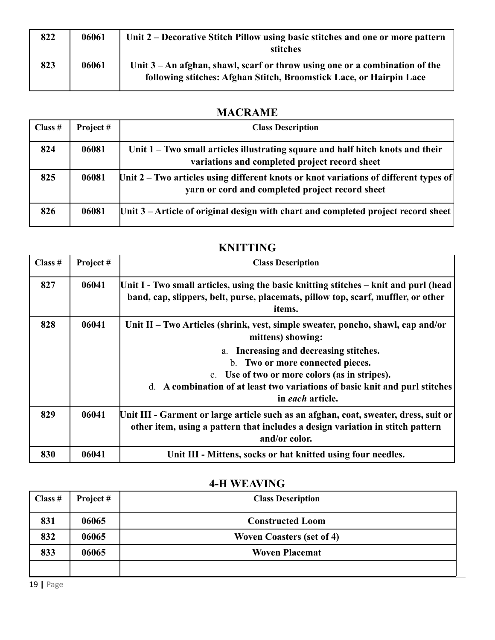| 822 | 06061 | Unit 2 – Decorative Stitch Pillow using basic stitches and one or more pattern<br>stitches                                                           |
|-----|-------|------------------------------------------------------------------------------------------------------------------------------------------------------|
| 823 | 06061 | Unit $3 - An$ afghan, shawl, scarf or throw using one or a combination of the<br>following stitches: Afghan Stitch, Broomstick Lace, or Hairpin Lace |

## **MACRAME**

| Class $#$ | Project# | <b>Class Description</b>                                                                                                                |
|-----------|----------|-----------------------------------------------------------------------------------------------------------------------------------------|
| 824       | 06081    | Unit 1 – Two small articles illustrating square and half hitch knots and their<br>variations and completed project record sheet         |
| 825       | 06081    | Unit 2 – Two articles using different knots or knot variations of different types of<br>yarn or cord and completed project record sheet |
| 826       | 06081    | Unit $3$ – Article of original design with chart and completed project record sheet                                                     |

| Class # | Project# | <b>Class Description</b>                                                                                                                                                                                                       |
|---------|----------|--------------------------------------------------------------------------------------------------------------------------------------------------------------------------------------------------------------------------------|
| 827     | 06041    | Unit I - Two small articles, using the basic knitting stitches – knit and purl (head<br>band, cap, slippers, belt, purse, placemats, pillow top, scarf, muffler, or other<br>items.                                            |
| 828     | 06041    | Unit II - Two Articles (shrink, vest, simple sweater, poncho, shawl, cap and/or<br>mittens) showing:                                                                                                                           |
|         |          | a. Increasing and decreasing stitches.<br>b. Two or more connected pieces.<br>c. Use of two or more colors (as in stripes).<br>d. A combination of at least two variations of basic knit and purl stitches<br>in each article. |
| 829     | 06041    | Unit III - Garment or large article such as an afghan, coat, sweater, dress, suit or<br>other item, using a pattern that includes a design variation in stitch pattern<br>and/or color.                                        |
| 830     | 06041    | Unit III - Mittens, socks or hat knitted using four needles.                                                                                                                                                                   |

### **KNITTING**

## **4-H WEAVING**

| Class $#$ | Project # | <b>Class Description</b>         |
|-----------|-----------|----------------------------------|
| 831       | 06065     | <b>Constructed Loom</b>          |
| 832       | 06065     | <b>Woven Coasters (set of 4)</b> |
| 833       | 06065     | <b>Woven Placemat</b>            |
|           |           |                                  |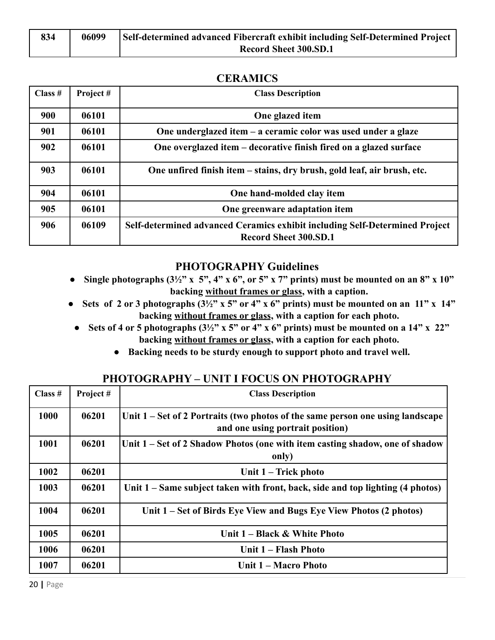| 834 | 06099 | Self-determined advanced Fibercraft exhibit including Self-Determined Project |
|-----|-------|-------------------------------------------------------------------------------|
|     |       | <b>Record Sheet 300.SD.1</b>                                                  |

#### **CERAMICS**

| Class $#$ | Project# | <b>Class Description</b>                                                                                    |
|-----------|----------|-------------------------------------------------------------------------------------------------------------|
| 900       | 06101    | One glazed item                                                                                             |
| 901       | 06101    | One underglazed item – a ceramic color was used under a glaze                                               |
| 902       | 06101    | One overglazed item – decorative finish fired on a glazed surface                                           |
| 903       | 06101    | One unfired finish item – stains, dry brush, gold leaf, air brush, etc.                                     |
| 904       | 06101    | One hand-molded clay item                                                                                   |
| 905       | 06101    | One greenware adaptation item                                                                               |
| 906       | 06109    | Self-determined advanced Ceramics exhibit including Self-Determined Project<br><b>Record Sheet 300.SD.1</b> |

#### **PHOTOGRAPHY Guidelines**

- **● Single photographs (3½" x 5", 4" x 6", or 5" x 7" prints) must be mounted on an 8" x 10" backing without frames or glass, with a caption.**
- **•** Sets of 2 or 3 photographs  $(3\frac{1}{2}$ " x 5" or 4" x 6" prints) must be mounted on an 11" x 14" **backing without frames or glass, with a caption for each photo.**
	- **● Sets of 4 or 5 photographs (3½" x 5" or 4" x 6" prints) must be mounted on a 14" x 22" backing without frames or glass, with a caption for each photo.**
		- **● Backing needs to be sturdy enough to support photo and travel well.**

#### **PHOTOGRAPHY – UNIT I FOCUS ON PHOTOGRAPHY**

| Class # | Project# | <b>Class Description</b>                                                                                           |
|---------|----------|--------------------------------------------------------------------------------------------------------------------|
| 1000    | 06201    | Unit 1 – Set of 2 Portraits (two photos of the same person one using landscape<br>and one using portrait position) |
| 1001    | 06201    | Unit 1 – Set of 2 Shadow Photos (one with item casting shadow, one of shadow<br>only)                              |
| 1002    | 06201    | Unit 1 – Trick photo                                                                                               |
| 1003    | 06201    | Unit 1 – Same subject taken with front, back, side and top lighting (4 photos)                                     |
| 1004    | 06201    | Unit 1 – Set of Birds Eye View and Bugs Eye View Photos (2 photos)                                                 |
| 1005    | 06201    | Unit 1 – Black & White Photo                                                                                       |
| 1006    | 06201    | Unit 1 - Flash Photo                                                                                               |
| 1007    | 06201    | Unit 1 – Macro Photo                                                                                               |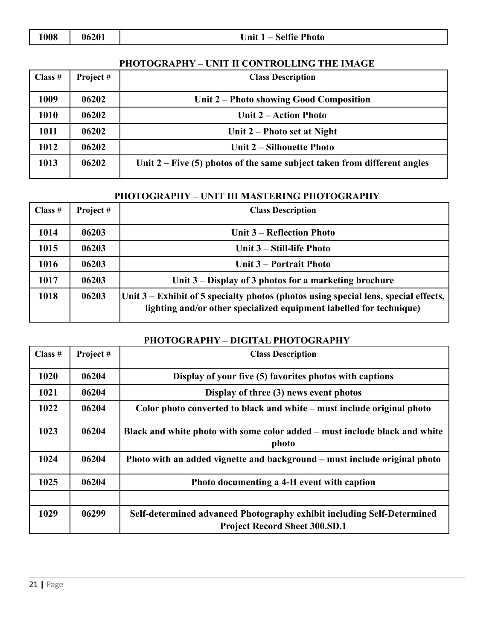| 062( |
|------|
|      |

**1008 1008 1008 1008 1008 1008 1008 1008 1008 1008 1008 1008 1008 1008 1008 1008 1008 1008 1008 1008 1008 1008 1008 1008 1008 1008 1008 1008 1008 1008 1008** 

#### **PHOTOGRAPHY – UNIT II CONTROLLING THE IMAGE**

| Class $#$ | Project# | <b>Class Description</b>                                                   |
|-----------|----------|----------------------------------------------------------------------------|
| 1009      | 06202    | Unit 2 – Photo showing Good Composition                                    |
| 1010      | 06202    | Unit 2 – Action Photo                                                      |
| 1011      | 06202    | Unit 2 – Photo set at Night                                                |
| 1012      | 06202    | Unit 2 – Silhouette Photo                                                  |
| 1013      | 06202    | Unit $2$ – Five (5) photos of the same subject taken from different angles |

## **PHOTOGRAPHY – UNIT III MASTERING PHOTOGRAPHY**

| Class # | Project# | <b>Class Description</b>                                                                                                                                   |
|---------|----------|------------------------------------------------------------------------------------------------------------------------------------------------------------|
| 1014    | 06203    | Unit 3 – Reflection Photo                                                                                                                                  |
| 1015    | 06203    | Unit 3 – Still-life Photo                                                                                                                                  |
| 1016    | 06203    | Unit 3 – Portrait Photo                                                                                                                                    |
| 1017    | 06203    | Unit 3 – Display of 3 photos for a marketing brochure                                                                                                      |
| 1018    | 06203    | Unit 3 – Exhibit of 5 specialty photos (photos using special lens, special effects,<br>lighting and/or other specialized equipment labelled for technique) |

#### **PHOTOGRAPHY – DIGITAL PHOTOGRAPHY**

| Class $#$ | Project# | <b>Class Description</b>                                                                                       |
|-----------|----------|----------------------------------------------------------------------------------------------------------------|
| 1020      | 06204    | Display of your five (5) favorites photos with captions                                                        |
| 1021      | 06204    | Display of three (3) news event photos                                                                         |
| 1022      | 06204    | Color photo converted to black and white – must include original photo                                         |
| 1023      | 06204    | Black and white photo with some color added – must include black and white<br>photo                            |
| 1024      | 06204    | Photo with an added vignette and background – must include original photo                                      |
| 1025      | 06204    | Photo documenting a 4-H event with caption                                                                     |
| 1029      | 06299    | Self-determined advanced Photography exhibit including Self-Determined<br><b>Project Record Sheet 300.SD.1</b> |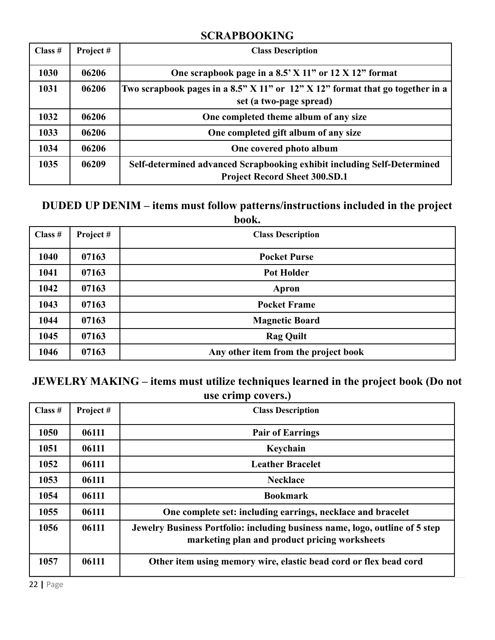#### **SCRAPBOOKING**

| Class # | Project# | <b>Class Description</b>                                                                                        |
|---------|----------|-----------------------------------------------------------------------------------------------------------------|
| 1030    | 06206    | One scrapbook page in a $8.5$ $X$ 11" or 12 $X$ 12" format                                                      |
| 1031    | 06206    | Two scrapbook pages in a 8.5" $X$ 11" or 12" $X$ 12" format that go together in a<br>set (a two-page spread)    |
| 1032    | 06206    | One completed theme album of any size                                                                           |
| 1033    | 06206    | One completed gift album of any size                                                                            |
| 1034    | 06206    | One covered photo album                                                                                         |
| 1035    | 06209    | Self-determined advanced Scrapbooking exhibit including Self-Determined<br><b>Project Record Sheet 300.SD.1</b> |

#### **DUDED UP DENIM – items must follow patterns/instructions included in the project book.**

| Class $#$ | Project # | <b>Class Description</b>             |
|-----------|-----------|--------------------------------------|
| 1040      | 07163     | <b>Pocket Purse</b>                  |
| 1041      | 07163     | <b>Pot Holder</b>                    |
| 1042      | 07163     | Apron                                |
| 1043      | 07163     | <b>Pocket Frame</b>                  |
| 1044      | 07163     | <b>Magnetic Board</b>                |
| 1045      | 07163     | <b>Rag Quilt</b>                     |
| 1046      | 07163     | Any other item from the project book |

## **JEWELRY MAKING – items must utilize techniques learned in the project book (Do not use crimp covers.)**

| Class $#$ | Project# | <b>Class Description</b>                                                                                                      |
|-----------|----------|-------------------------------------------------------------------------------------------------------------------------------|
| 1050      | 06111    | <b>Pair of Earrings</b>                                                                                                       |
| 1051      | 06111    | Keychain                                                                                                                      |
| 1052      | 06111    | <b>Leather Bracelet</b>                                                                                                       |
| 1053      | 06111    | <b>Necklace</b>                                                                                                               |
| 1054      | 06111    | <b>Bookmark</b>                                                                                                               |
| 1055      | 06111    | One complete set: including earrings, necklace and bracelet                                                                   |
| 1056      | 06111    | Jewelry Business Portfolio: including business name, logo, outline of 5 step<br>marketing plan and product pricing worksheets |
| 1057      | 06111    | Other item using memory wire, elastic bead cord or flex bead cord                                                             |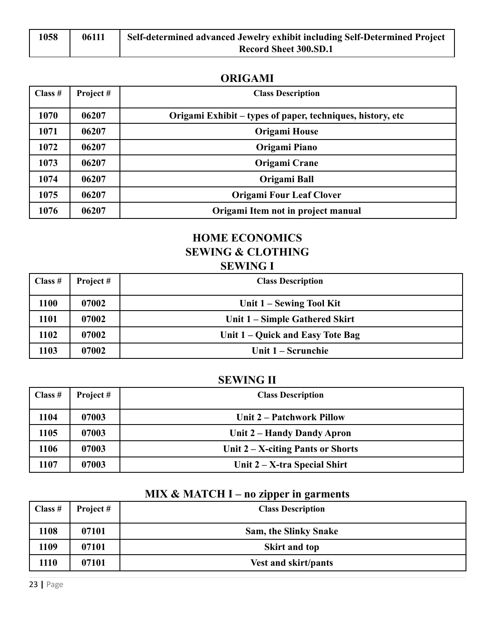| 1058 | 06111 | Self-determined advanced Jewelry exhibit including Self-Determined Project |
|------|-------|----------------------------------------------------------------------------|
|      |       | Record Sheet 300.SD.1                                                      |

#### **ORIGAMI**

| Class $#$ | Project# | <b>Class Description</b>                                   |
|-----------|----------|------------------------------------------------------------|
| 1070      | 06207    | Origami Exhibit – types of paper, techniques, history, etc |
| 1071      | 06207    | Origami House                                              |
| 1072      | 06207    | Origami Piano                                              |
| 1073      | 06207    | Origami Crane                                              |
| 1074      | 06207    | Origami Ball                                               |
| 1075      | 06207    | <b>Origami Four Leaf Clover</b>                            |
| 1076      | 06207    | Origami Item not in project manual                         |

## **HOME ECONOMICS SEWING & CLOTHING SEWING I**

| Class $#$ | Project # | <b>Class Description</b>         |
|-----------|-----------|----------------------------------|
| 1100      | 07002     | Unit 1 – Sewing Tool Kit         |
| 1101      | 07002     | Unit 1 – Simple Gathered Skirt   |
| 1102      | 07002     | Unit 1 – Quick and Easy Tote Bag |
| 1103      | 07002     | Unit 1 – Scrunchie               |

## **SEWING II**

| Class $#$ | Project # | <b>Class Description</b>             |
|-----------|-----------|--------------------------------------|
| 1104      | 07003     | Unit 2 – Patchwork Pillow            |
| 1105      | 07003     | Unit 2 – Handy Dandy Apron           |
| 1106      | 07003     | Unit $2 - X$ -citing Pants or Shorts |
| 1107      | 07003     | Unit $2 - X$ -tra Special Shirt      |

## **MIX & MATCH I – no zipper in garments**

| Class $#$ | Project # | <b>Class Description</b>     |
|-----------|-----------|------------------------------|
| 1108      | 07101     | <b>Sam, the Slinky Snake</b> |
| 1109      | 07101     | <b>Skirt and top</b>         |
| 1110      | 07101     | <b>Vest and skirt/pants</b>  |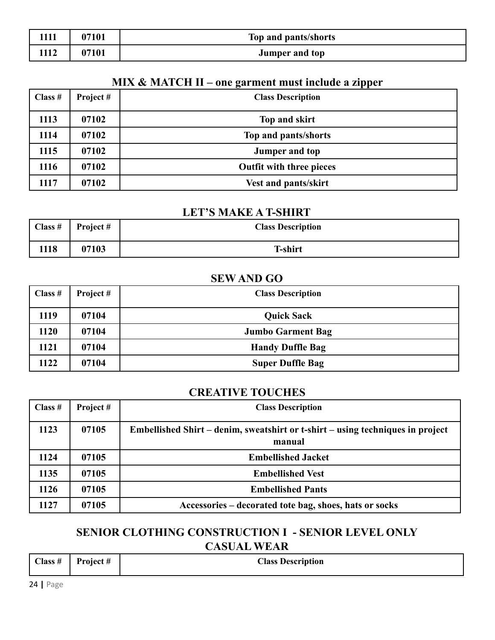| 1111 | 07101 | Top and pants/shorts  |
|------|-------|-----------------------|
| 1112 | 07101 | <b>Jumper and top</b> |

## **MIX & MATCH II – one garment must include a zipper**

| Class $#$ | Project# | <b>Class Description</b>        |
|-----------|----------|---------------------------------|
| 1113      | 07102    | Top and skirt                   |
| 1114      | 07102    | Top and pants/shorts            |
| 1115      | 07102    | <b>Jumper and top</b>           |
| 1116      | 07102    | <b>Outfit with three pieces</b> |
| 1117      | 07102    | <b>Vest and pants/skirt</b>     |

#### **LET'S MAKE A T-SHIRT**

| Class $#$ | Project # | <b>Class Description</b> |
|-----------|-----------|--------------------------|
| 1118      | 07103     | <b>T-shirt</b>           |

### **SEW AND GO**

| Class $#$ | Project # | <b>Class Description</b> |
|-----------|-----------|--------------------------|
| 1119      | 07104     | <b>Quick Sack</b>        |
| 1120      | 07104     | <b>Jumbo Garment Bag</b> |
| 1121      | 07104     | <b>Handy Duffle Bag</b>  |
| 1122      | 07104     | <b>Super Duffle Bag</b>  |

### **CREATIVE TOUCHES**

| Class $#$ | Project # | <b>Class Description</b>                                                                 |
|-----------|-----------|------------------------------------------------------------------------------------------|
| 1123      | 07105     | Embellished Shirt – denim, sweatshirt or t-shirt – using techniques in project<br>manual |
| 1124      | 07105     | <b>Embellished Jacket</b>                                                                |
| 1135      | 07105     | <b>Embellished Vest</b>                                                                  |
| 1126      | 07105     | <b>Embellished Pants</b>                                                                 |
| 1127      | 07105     | Accessories – decorated tote bag, shoes, hats or socks                                   |

### **SENIOR CLOTHING CONSTRUCTION I - SENIOR LEVEL ONLY CASUAL WEAR**

| $\bigcap$ ass $\#$<br>______ | $\blacksquare$<br><u>Duaiast</u> | $\gamma$ are $\gamma$<br><b>Description</b><br>___________________ |  |
|------------------------------|----------------------------------|--------------------------------------------------------------------|--|
|                              |                                  |                                                                    |  |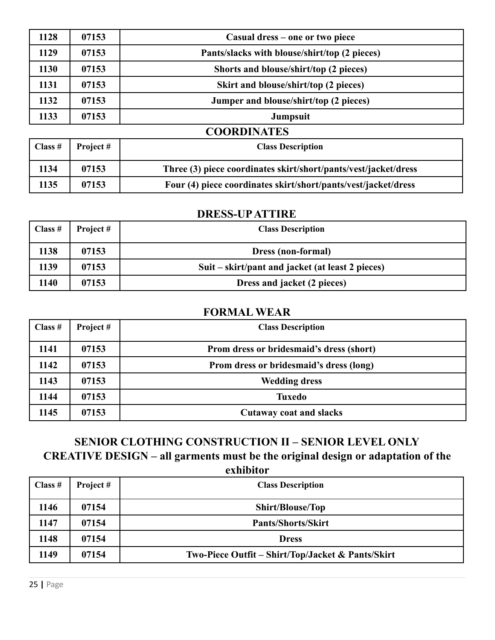| 1128    | 07153    | Casual dress – one or two piece                                 |
|---------|----------|-----------------------------------------------------------------|
| 1129    | 07153    | Pants/slacks with blouse/shirt/top (2 pieces)                   |
| 1130    | 07153    | Shorts and blouse/shirt/top (2 pieces)                          |
| 1131    | 07153    | Skirt and blouse/shirt/top (2 pieces)                           |
| 1132    | 07153    | Jumper and blouse/shirt/top (2 pieces)                          |
| 1133    | 07153    | Jumpsuit                                                        |
|         |          | <b>COORDINATES</b>                                              |
| Class # | Project# | <b>Class Description</b>                                        |
| 1134    | 07153    | Three (3) piece coordinates skirt/short/pants/vest/jacket/dress |

#### **DRESS-UPATTIRE**

**07153 Four (4) piece coordinates skirt/short/pants/vest/jacket/dress**

| Class $#$ | Project # | <b>Class Description</b>                         |
|-----------|-----------|--------------------------------------------------|
| 1138      | 07153     | <b>Dress (non-formal)</b>                        |
| 1139      | 07153     | Suit – skirt/pant and jacket (at least 2 pieces) |
| 1140      | 07153     | Dress and jacket (2 pieces)                      |

#### **FORMAL WEAR**

| Class $#$ | Project# | <b>Class Description</b>                 |
|-----------|----------|------------------------------------------|
| 1141      | 07153    | Prom dress or bridesmaid's dress (short) |
| 1142      | 07153    | Prom dress or bridesmaid's dress (long)  |
| 1143      | 07153    | <b>Wedding dress</b>                     |
| 1144      | 07153    | <b>Tuxedo</b>                            |
| 1145      | 07153    | <b>Cutaway coat and slacks</b>           |

## **SENIOR CLOTHING CONSTRUCTION II – SENIOR LEVEL ONLY**

**CREATIVE DESIGN – all garments must be the original design or adaptation of the**

**exhibitor**

| $\vert$ Class # | Project # | <b>Class Description</b>                          |
|-----------------|-----------|---------------------------------------------------|
| 1146            | 07154     | <b>Shirt/Blouse/Top</b>                           |
| 1147            | 07154     | <b>Pants/Shorts/Skirt</b>                         |
| 1148            | 07154     | <b>Dress</b>                                      |
| 1149            | 07154     | Two-Piece Outfit – Shirt/Top/Jacket & Pants/Skirt |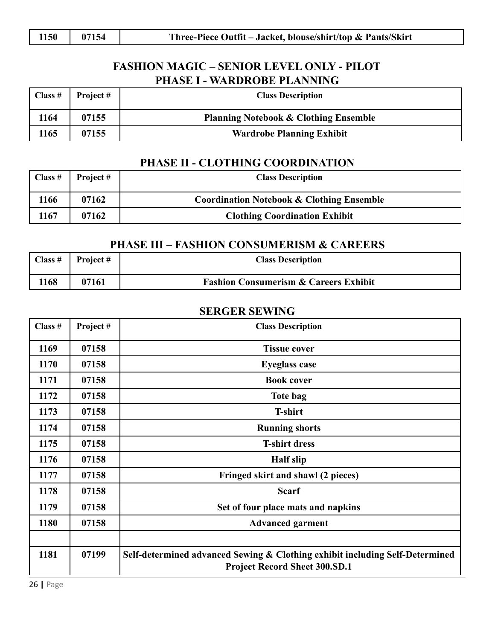### **FASHION MAGIC – SENIOR LEVEL ONLY - PILOT PHASE I - WARDROBE PLANNING**

| Class $#$ | <b>Project</b> # | <b>Class Description</b>                         |
|-----------|------------------|--------------------------------------------------|
| 1164      | 07155            | <b>Planning Notebook &amp; Clothing Ensemble</b> |
| 1165      | 07155            | <b>Wardrobe Planning Exhibit</b>                 |

#### **PHASE II - CLOTHING COORDINATION**

| Class $#$ | Project# | <b>Class Description</b>                             |
|-----------|----------|------------------------------------------------------|
| 1166      | 07162    | <b>Coordination Notebook &amp; Clothing Ensemble</b> |
| 1167      | 07162    | <b>Clothing Coordination Exhibit</b>                 |

#### **PHASE III – FASHION CONSUMERISM & CAREERS**

| Class $#$ | <b>Project</b> # | <b>Class Description</b>                         |
|-----------|------------------|--------------------------------------------------|
| 1168      | 07161            | <b>Fashion Consumerism &amp; Careers Exhibit</b> |

#### **SERGER SEWING**

| Class # | Project# | <b>Class Description</b>                                                                                             |
|---------|----------|----------------------------------------------------------------------------------------------------------------------|
| 1169    | 07158    | <b>Tissue cover</b>                                                                                                  |
| 1170    | 07158    | <b>Eyeglass case</b>                                                                                                 |
| 1171    | 07158    | <b>Book cover</b>                                                                                                    |
| 1172    | 07158    | Tote bag                                                                                                             |
| 1173    | 07158    | <b>T-shirt</b>                                                                                                       |
| 1174    | 07158    | <b>Running shorts</b>                                                                                                |
| 1175    | 07158    | <b>T-shirt dress</b>                                                                                                 |
| 1176    | 07158    | <b>Half slip</b>                                                                                                     |
| 1177    | 07158    | Fringed skirt and shawl (2 pieces)                                                                                   |
| 1178    | 07158    | <b>Scarf</b>                                                                                                         |
| 1179    | 07158    | Set of four place mats and napkins                                                                                   |
| 1180    | 07158    | <b>Advanced garment</b>                                                                                              |
|         |          |                                                                                                                      |
| 1181    | 07199    | Self-determined advanced Sewing & Clothing exhibit including Self-Determined<br><b>Project Record Sheet 300.SD.1</b> |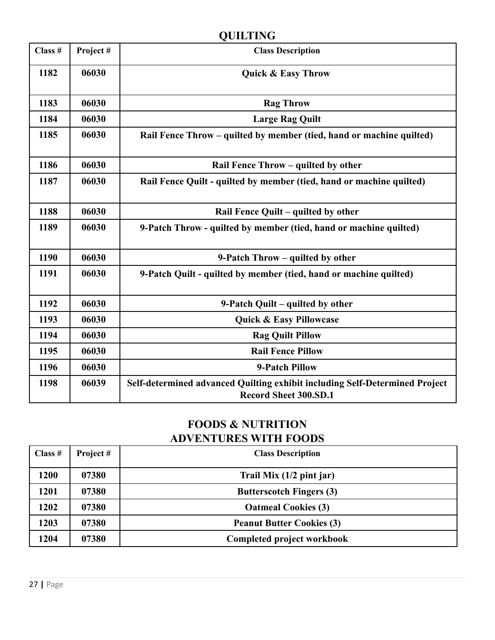## **QUILTING**

| Class # | Project# | <b>Class Description</b>                                                                                    |
|---------|----------|-------------------------------------------------------------------------------------------------------------|
| 1182    | 06030    | <b>Quick &amp; Easy Throw</b>                                                                               |
| 1183    | 06030    | <b>Rag Throw</b>                                                                                            |
| 1184    | 06030    | <b>Large Rag Quilt</b>                                                                                      |
| 1185    | 06030    | Rail Fence Throw – quilted by member (tied, hand or machine quilted)                                        |
| 1186    | 06030    | Rail Fence Throw - quilted by other                                                                         |
| 1187    | 06030    | Rail Fence Quilt - quilted by member (tied, hand or machine quilted)                                        |
| 1188    | 06030    | Rail Fence Quilt - quilted by other                                                                         |
| 1189    | 06030    | 9-Patch Throw - quilted by member (tied, hand or machine quilted)                                           |
| 1190    | 06030    | 9-Patch Throw – quilted by other                                                                            |
| 1191    | 06030    | 9-Patch Quilt - quilted by member (tied, hand or machine quilted)                                           |
| 1192    | 06030    | 9-Patch Quilt – quilted by other                                                                            |
| 1193    | 06030    | Quick & Easy Pillowcase                                                                                     |
| 1194    | 06030    | <b>Rag Quilt Pillow</b>                                                                                     |
| 1195    | 06030    | <b>Rail Fence Pillow</b>                                                                                    |
| 1196    | 06030    | 9-Patch Pillow                                                                                              |
| 1198    | 06039    | Self-determined advanced Quilting exhibit including Self-Determined Project<br><b>Record Sheet 300.SD.1</b> |

## **FOODS & NUTRITION ADVENTURES WITH FOODS**

| Class $#$ | Project# | <b>Class Description</b>         |
|-----------|----------|----------------------------------|
| 1200      | 07380    | Trail Mix $(1/2$ pint jar)       |
| 1201      | 07380    | <b>Butterscotch Fingers (3)</b>  |
| 1202      | 07380    | <b>Oatmeal Cookies (3)</b>       |
| 1203      | 07380    | <b>Peanut Butter Cookies (3)</b> |
| 1204      | 07380    | Completed project workbook       |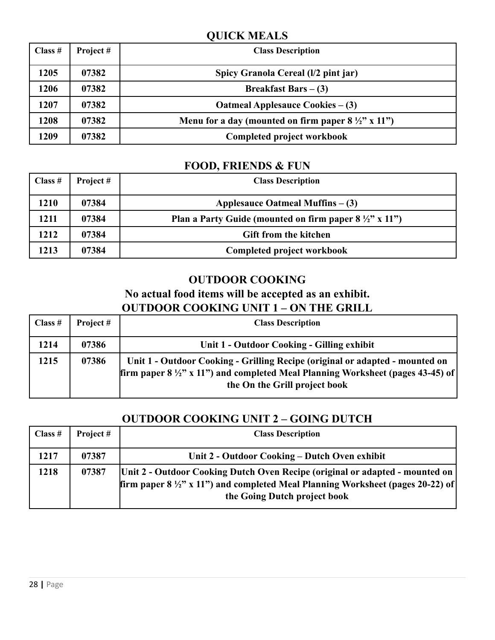### **QUICK MEALS**

| Class $#$ | Project# | <b>Class Description</b>                                      |
|-----------|----------|---------------------------------------------------------------|
| 1205      | 07382    | Spicy Granola Cereal (1/2 pint jar)                           |
| 1206      | 07382    | <b>Breakfast Bars</b> $-$ (3)                                 |
| 1207      | 07382    | Oatmeal Applesauce Cookies $-$ (3)                            |
| 1208      | 07382    | Menu for a day (mounted on firm paper $8\frac{1}{2}$ " x 11") |
| 1209      | 07382    | Completed project workbook                                    |

## **FOOD, FRIENDS & FUN**

| Class $#$ | Project # | <b>Class Description</b>                                          |
|-----------|-----------|-------------------------------------------------------------------|
| 1210      | 07384     | Applesauce Oatmeal Muffins $-$ (3)                                |
| 1211      | 07384     | Plan a Party Guide (mounted on firm paper $8\frac{1}{2}$ " x 11") |
| 1212      | 07384     | <b>Gift from the kitchen</b>                                      |
| 1213      | 07384     | Completed project workbook                                        |

### **OUTDOOR COOKING**

### **No actual food items will be accepted as an exhibit. OUTDOOR COOKING UNIT 1 – ON THE GRILL**

| Class $#$ | Project # | <b>Class Description</b>                                                                                                                                                                                   |
|-----------|-----------|------------------------------------------------------------------------------------------------------------------------------------------------------------------------------------------------------------|
| 1214      | 07386     | Unit 1 - Outdoor Cooking - Gilling exhibit                                                                                                                                                                 |
| 1215      | 07386     | Unit 1 - Outdoor Cooking - Grilling Recipe (original or adapted - mounted on<br>firm paper $8\frac{1}{2}$ , x 11") and completed Meal Planning Worksheet (pages 43-45) of<br>the On the Grill project book |

## **OUTDOOR COOKING UNIT 2 – GOING DUTCH**

| Class $#$ | Project # | <b>Class Description</b>                                                                                                                                                                                          |
|-----------|-----------|-------------------------------------------------------------------------------------------------------------------------------------------------------------------------------------------------------------------|
| 1217      | 07387     | Unit 2 - Outdoor Cooking – Dutch Oven exhibit                                                                                                                                                                     |
| 1218      | 07387     | Unit 2 - Outdoor Cooking Dutch Oven Recipe (original or adapted - mounted on<br><b>firm paper 8</b> $\frac{1}{2}$ " x 11") and completed Meal Planning Worksheet (pages 20-22) of<br>the Going Dutch project book |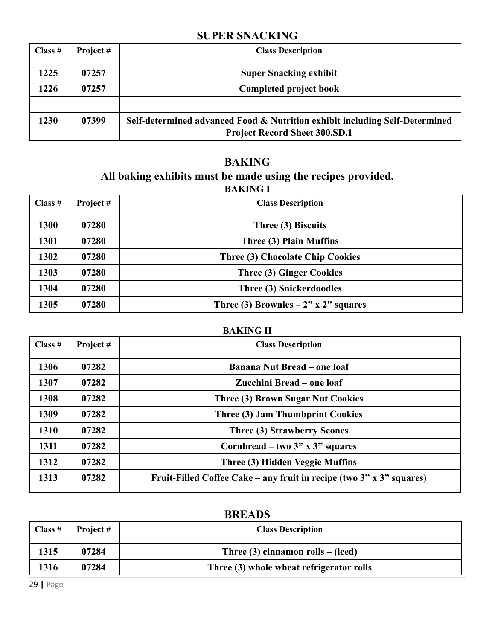### **SUPER SNACKING**

| Class $#$ | Project# | <b>Class Description</b>                                                                                            |
|-----------|----------|---------------------------------------------------------------------------------------------------------------------|
| 1225      | 07257    | <b>Super Snacking exhibit</b>                                                                                       |
| 1226      | 07257    | <b>Completed project book</b>                                                                                       |
|           |          |                                                                                                                     |
| 1230      | 07399    | Self-determined advanced Food & Nutrition exhibit including Self-Determined<br><b>Project Record Sheet 300.SD.1</b> |

#### **BAKING All baking exhibits must be made using the recipes provided. BAKING I**

| Class $#$ | Project # | <b>Class Description</b>               |
|-----------|-----------|----------------------------------------|
| 1300      | 07280     | Three (3) Biscuits                     |
| 1301      | 07280     | Three (3) Plain Muffins                |
| 1302      | 07280     | Three (3) Chocolate Chip Cookies       |
| 1303      | 07280     | Three (3) Ginger Cookies               |
| 1304      | 07280     | Three (3) Snickerdoodles               |
| 1305      | 07280     | Three (3) Brownies $-2$ " x 2" squares |

#### **BAKING II**

| Class $#$ | Project# | <b>Class Description</b>                                                 |
|-----------|----------|--------------------------------------------------------------------------|
| 1306      | 07282    | <b>Banana Nut Bread – one loaf</b>                                       |
| 1307      | 07282    | Zucchini Bread – one loaf                                                |
| 1308      | 07282    | <b>Three (3) Brown Sugar Nut Cookies</b>                                 |
| 1309      | 07282    | Three (3) Jam Thumbprint Cookies                                         |
| 1310      | 07282    | Three (3) Strawberry Scones                                              |
| 1311      | 07282    | Cornbread – two $3"$ x $3"$ squares                                      |
| 1312      | 07282    | Three (3) Hidden Veggie Muffins                                          |
| 1313      | 07282    | Fruit-Filled Coffee Cake – any fruit in recipe (two $3"$ x $3"$ squares) |

| Class $#$ | Project # | <b>Class Description</b>                 |
|-----------|-----------|------------------------------------------|
| 1315      | 07284     | Three $(3)$ cinnamon rolls – (iced)      |
| 1316      | 07284     | Three (3) whole wheat refrigerator rolls |

## **BREADS**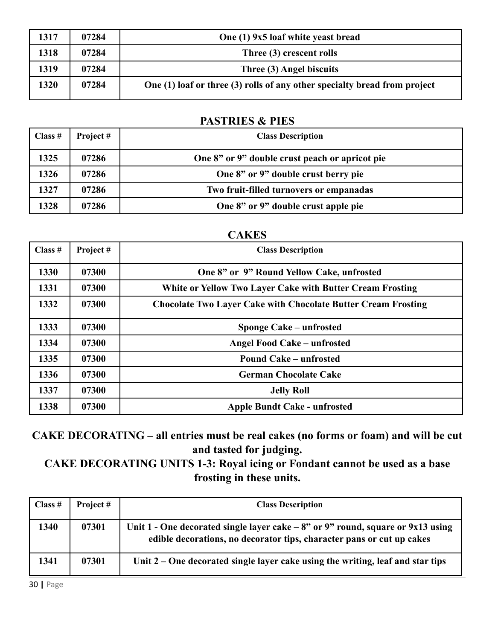| 1317 | 07284 | One (1) 9x5 loaf white yeast bread                                        |
|------|-------|---------------------------------------------------------------------------|
| 1318 | 07284 | Three (3) crescent rolls                                                  |
| 1319 | 07284 | Three (3) Angel biscuits                                                  |
| 1320 | 07284 | One (1) loaf or three (3) rolls of any other specialty bread from project |

#### **PASTRIES & PIES**

| Class $#$ | Project # | <b>Class Description</b>                       |
|-----------|-----------|------------------------------------------------|
| 1325      | 07286     | One 8" or 9" double crust peach or apricot pie |
| 1326      | 07286     | One 8" or 9" double crust berry pie            |
| 1327      | 07286     | Two fruit-filled turnovers or empanadas        |
| 1328      | 07286     | One 8" or 9" double crust apple pie            |

#### **CAKES**

| Class # | Project# | <b>Class Description</b>                                             |
|---------|----------|----------------------------------------------------------------------|
| 1330    | 07300    | One 8" or 9" Round Yellow Cake, unfrosted                            |
| 1331    | 07300    | White or Yellow Two Layer Cake with Butter Cream Frosting            |
| 1332    | 07300    | <b>Chocolate Two Layer Cake with Chocolate Butter Cream Frosting</b> |
| 1333    | 07300    | Sponge Cake – unfrosted                                              |
| 1334    | 07300    | Angel Food Cake – unfrosted                                          |
| 1335    | 07300    | <b>Pound Cake – unfrosted</b>                                        |
| 1336    | 07300    | <b>German Chocolate Cake</b>                                         |
| 1337    | 07300    | <b>Jelly Roll</b>                                                    |
| 1338    | 07300    | <b>Apple Bundt Cake - unfrosted</b>                                  |

**CAKE DECORATING – all entries must be real cakes (no forms or foam) and will be cut and tasted for judging.**

**CAKE DECORATING UNITS 1-3: Royal icing or Fondant cannot be used as a base frosting in these units.**

| Class $#$ | Project # | <b>Class Description</b>                                                                                                                                   |
|-----------|-----------|------------------------------------------------------------------------------------------------------------------------------------------------------------|
| 1340      | 07301     | Unit 1 - One decorated single layer cake $-8$ " or 9" round, square or 9x13 using<br>edible decorations, no decorator tips, character pans or cut up cakes |
| 1341      | 07301     | Unit $2$ – One decorated single layer cake using the writing, leaf and star tips                                                                           |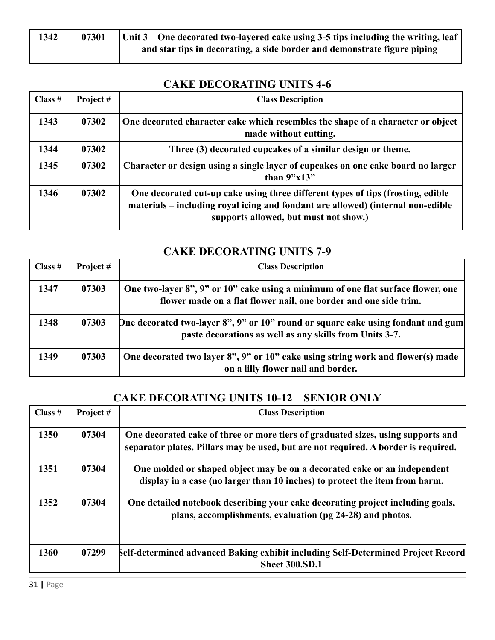| 1342 | 07301 | $\vert$ Unit 3 – One decorated two-layered cake using 3-5 tips including the writing, leaf |
|------|-------|--------------------------------------------------------------------------------------------|
|      |       | and star tips in decorating, a side border and demonstrate figure piping                   |

### **CAKE DECORATING UNITS 4-6**

| Class $#$ | Project# | <b>Class Description</b>                                                                                                                                                                                    |
|-----------|----------|-------------------------------------------------------------------------------------------------------------------------------------------------------------------------------------------------------------|
| 1343      | 07302    | One decorated character cake which resembles the shape of a character or object<br>made without cutting.                                                                                                    |
| 1344      | 07302    | Three (3) decorated cupcakes of a similar design or theme.                                                                                                                                                  |
| 1345      | 07302    | Character or design using a single layer of cupcakes on one cake board no larger<br>than $9"x13"$                                                                                                           |
| 1346      | 07302    | One decorated cut-up cake using three different types of tips (frosting, edible<br>materials – including royal icing and fondant are allowed) (internal non-edible<br>supports allowed, but must not show.) |

### **CAKE DECORATING UNITS 7-9**

| Class $#$ | Project # | <b>Class Description</b>                                                                                                                             |
|-----------|-----------|------------------------------------------------------------------------------------------------------------------------------------------------------|
| 1347      | 07303     | One two-layer 8", 9" or 10" cake using a minimum of one flat surface flower, one<br>flower made on a flat flower nail, one border and one side trim. |
| 1348      | 07303     | [Dne decorated two-layer 8", 9" or 10" round or square cake using fondant and gum<br>paste decorations as well as any skills from Units 3-7.         |
| 1349      | 07303     | One decorated two layer 8", 9" or 10" cake using string work and flower(s) made<br>on a lilly flower nail and border.                                |

## **CAKE DECORATING UNITS 10-12 – SENIOR ONLY**

| Class # | Project# | <b>Class Description</b>                                                                                                                                               |
|---------|----------|------------------------------------------------------------------------------------------------------------------------------------------------------------------------|
| 1350    | 07304    | One decorated cake of three or more tiers of graduated sizes, using supports and<br>separator plates. Pillars may be used, but are not required. A border is required. |
| 1351    | 07304    | One molded or shaped object may be on a decorated cake or an independent<br>display in a case (no larger than 10 inches) to protect the item from harm.                |
| 1352    | 07304    | One detailed notebook describing your cake decorating project including goals,<br>plans, accomplishments, evaluation (pg 24-28) and photos.                            |
| 1360    | 07299    | <b>Self-determined advanced Baking exhibit including Self-Determined Project Record</b><br><b>Sheet 300.SD.1</b>                                                       |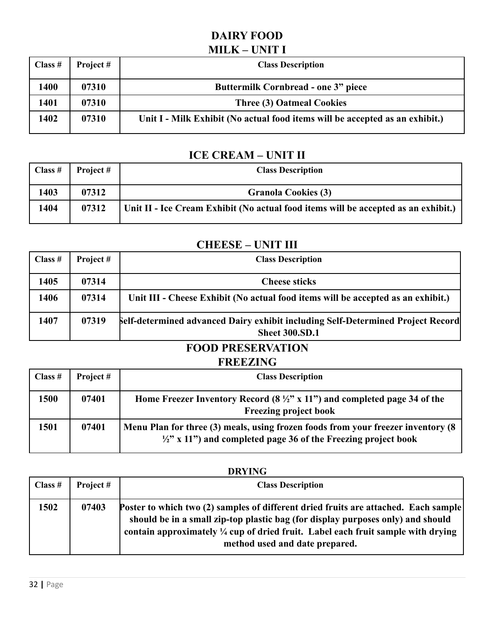## **DAIRY FOOD MILK – UNIT I**

| Class $#$ | Project # | <b>Class Description</b>                                                     |
|-----------|-----------|------------------------------------------------------------------------------|
| 1400      | 07310     | <b>Buttermilk Cornbread - one 3" piece</b>                                   |
| 1401      | 07310     | <b>Three (3) Oatmeal Cookies</b>                                             |
| 1402      | 07310     | Unit I - Milk Exhibit (No actual food items will be accepted as an exhibit.) |

### **ICE CREAM – UNIT II**

| Class $#$ | Project # | <b>Class Description</b>                                                           |
|-----------|-----------|------------------------------------------------------------------------------------|
| 1403      | 07312     | <b>Granola Cookies (3)</b>                                                         |
| 1404      | 07312     | Unit II - Ice Cream Exhibit (No actual food items will be accepted as an exhibit.) |

#### **CHEESE – UNIT III**

| Class $#$ | Project # | <b>Class Description</b>                                                                                        |
|-----------|-----------|-----------------------------------------------------------------------------------------------------------------|
| 1405      | 07314     | <b>Cheese sticks</b>                                                                                            |
| 1406      | 07314     | Unit III - Cheese Exhibit (No actual food items will be accepted as an exhibit.)                                |
| 1407      | 07319     | <b>Self-determined advanced Dairy exhibit including Self-Determined Project Record</b><br><b>Sheet 300.SD.1</b> |

# **FOOD PRESERVATION**

## **FREEZING**

| Class $#$ | Project # | <b>Class Description</b>                                                                                                                                       |
|-----------|-----------|----------------------------------------------------------------------------------------------------------------------------------------------------------------|
| 1500      | 07401     | Home Freezer Inventory Record $(8 \frac{1}{2}$ " x 11") and completed page 34 of the<br><b>Freezing project book</b>                                           |
| 1501      | 07401     | Menu Plan for three (3) meals, using frozen foods from your freezer inventory (8)<br>$\frac{1}{2}$ " x 11") and completed page 36 of the Freezing project book |

#### **DRYING**

| $\vert$ Class # | Project# | <b>Class Description</b>                                                                                                                                                                                                                                                                                       |
|-----------------|----------|----------------------------------------------------------------------------------------------------------------------------------------------------------------------------------------------------------------------------------------------------------------------------------------------------------------|
| 1502            | 07403    | <b>Poster to which two (2) samples of different dried fruits are attached. Each sample</b><br>should be in a small zip-top plastic bag (for display purposes only) and should<br>contain approximately $\frac{1}{4}$ cup of dried fruit. Label each fruit sample with drying<br>method used and date prepared. |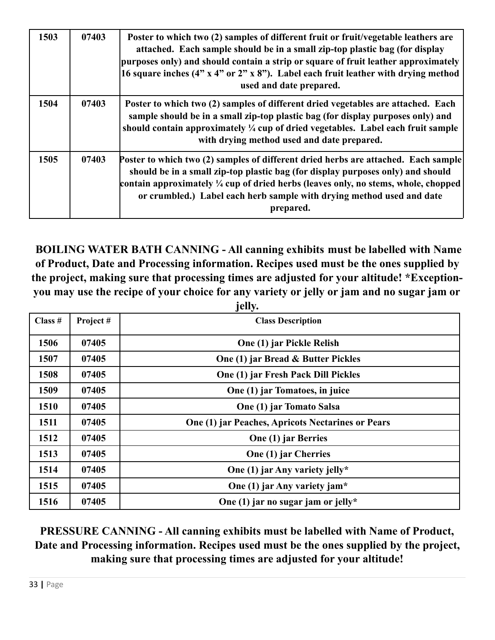| 1503 | 07403 | Poster to which two (2) samples of different fruit or fruit/vegetable leathers are<br>attached. Each sample should be in a small zip-top plastic bag (for display<br>purposes only) and should contain a strip or square of fruit leather approximately<br>16 square inches $(4" x 4" or 2" x 8")$ . Label each fruit leather with drying method<br>used and date prepared. |
|------|-------|-----------------------------------------------------------------------------------------------------------------------------------------------------------------------------------------------------------------------------------------------------------------------------------------------------------------------------------------------------------------------------|
| 1504 | 07403 | Poster to which two (2) samples of different dried vegetables are attached. Each<br>sample should be in a small zip-top plastic bag (for display purposes only) and<br>should contain approximately $\frac{1}{4}$ cup of dried vegetables. Label each fruit sample<br>with drying method used and date prepared.                                                            |
| 1505 | 07403 | Poster to which two (2) samples of different dried herbs are attached. Each sample<br>should be in a small zip-top plastic bag (for display purposes only) and should<br>contain approximately $\frac{1}{4}$ cup of dried herbs (leaves only, no stems, whole, chopped<br>or crumbled.) Label each herb sample with drying method used and date<br>prepared.                |

**BOILING WATER BATH CANNING - All canning exhibits must be labelled with Name of Product, Date and Processing information. Recipes used must be the ones supplied by the project, making sure that processing times are adjusted for your altitude! \*Exception**you may use the recipe of your choice for any variety or jelly or jam and no sugar jam or **jelly.**

| Class #     | Project# | <b>Class Description</b>                          |
|-------------|----------|---------------------------------------------------|
| 1506        | 07405    | One (1) jar Pickle Relish                         |
| 1507        | 07405    | One (1) jar Bread & Butter Pickles                |
| 1508        | 07405    | One (1) jar Fresh Pack Dill Pickles               |
| 1509        | 07405    | One (1) jar Tomatoes, in juice                    |
| <b>1510</b> | 07405    | One (1) jar Tomato Salsa                          |
| 1511        | 07405    | One (1) jar Peaches, Apricots Nectarines or Pears |
| 1512        | 07405    | One (1) jar Berries                               |
| 1513        | 07405    | One (1) jar Cherries                              |
| 1514        | 07405    | One (1) jar Any variety jelly*                    |
| 1515        | 07405    | One (1) jar Any variety jam*                      |
| 1516        | 07405    | One (1) jar no sugar jam or jelly*                |

## **PRESSURE CANNING - All canning exhibits must be labelled with Name of Product, Date and Processing information. Recipes used must be the ones supplied by the project, making sure that processing times are adjusted for your altitude!**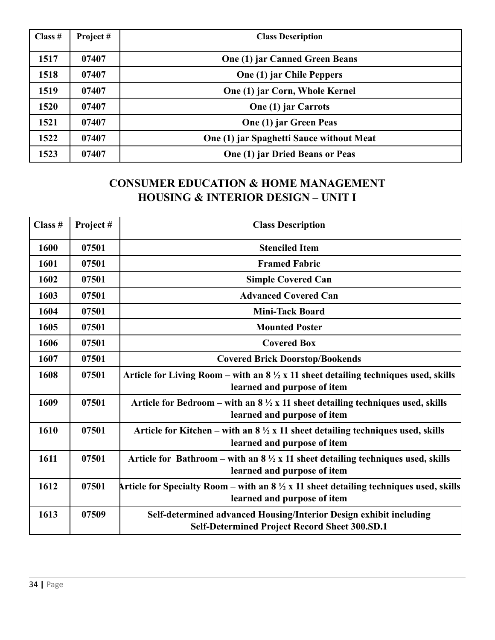| Class $#$ | Project# | <b>Class Description</b>                 |
|-----------|----------|------------------------------------------|
| 1517      | 07407    | <b>One (1) jar Canned Green Beans</b>    |
| 1518      | 07407    | One (1) jar Chile Peppers                |
| 1519      | 07407    | One (1) jar Corn, Whole Kernel           |
| 1520      | 07407    | <b>One (1) jar Carrots</b>               |
| 1521      | 07407    | One (1) jar Green Peas                   |
| 1522      | 07407    | One (1) jar Spaghetti Sauce without Meat |
| 1523      | 07407    | One (1) jar Dried Beans or Peas          |

## **CONSUMER EDUCATION & HOME MANAGEMENT HOUSING & INTERIOR DESIGN – UNIT I**

| Class # | Project# | <b>Class Description</b>                                                                                                        |
|---------|----------|---------------------------------------------------------------------------------------------------------------------------------|
| 1600    | 07501    | <b>Stenciled Item</b>                                                                                                           |
| 1601    | 07501    | <b>Framed Fabric</b>                                                                                                            |
| 1602    | 07501    | <b>Simple Covered Can</b>                                                                                                       |
| 1603    | 07501    | <b>Advanced Covered Can</b>                                                                                                     |
| 1604    | 07501    | <b>Mini-Tack Board</b>                                                                                                          |
| 1605    | 07501    | <b>Mounted Poster</b>                                                                                                           |
| 1606    | 07501    | <b>Covered Box</b>                                                                                                              |
| 1607    | 07501    | <b>Covered Brick Doorstop/Bookends</b>                                                                                          |
| 1608    | 07501    | Article for Living Room – with an $8\frac{1}{2}x$ 11 sheet detailing techniques used, skills<br>learned and purpose of item     |
| 1609    | 07501    | Article for Bedroom – with an $8\frac{1}{2}$ x 11 sheet detailing techniques used, skills<br>learned and purpose of item        |
| 1610    | 07501    | Article for Kitchen – with an $8\frac{1}{2}x$ 11 sheet detailing techniques used, skills<br>learned and purpose of item         |
| 1611    | 07501    | Article for Bathroom – with an $8\frac{1}{2}x$ 11 sheet detailing techniques used, skills<br>learned and purpose of item        |
| 1612    | 07501    | Article for Specialty Room – with an $8\frac{1}{2}$ x 11 sheet detailing techniques used, skills<br>learned and purpose of item |
| 1613    | 07509    | Self-determined advanced Housing/Interior Design exhibit including<br><b>Self-Determined Project Record Sheet 300.SD.1</b>      |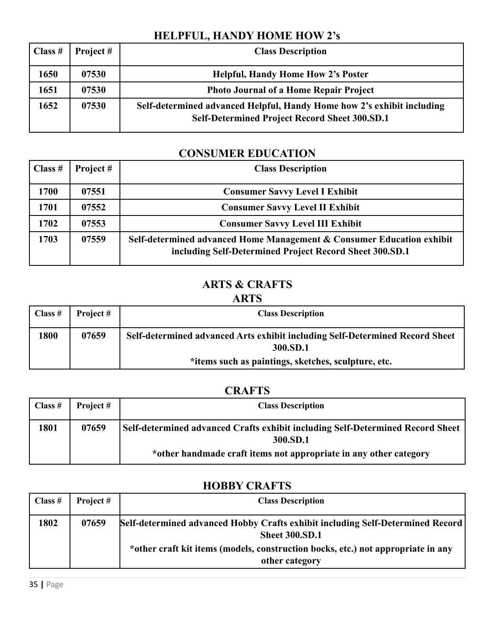## **HELPFUL, HANDY HOME HOW 2's**

| Class # | Project # | <b>Class Description</b>                                                                                                       |
|---------|-----------|--------------------------------------------------------------------------------------------------------------------------------|
| 1650    | 07530     | <b>Helpful, Handy Home How 2's Poster</b>                                                                                      |
| 1651    | 07530     | <b>Photo Journal of a Home Repair Project</b>                                                                                  |
| 1652    | 07530     | Self-determined advanced Helpful, Handy Home how 2's exhibit including<br><b>Self-Determined Project Record Sheet 300.SD.1</b> |

## **CONSUMER EDUCATION**

| Class # | Project # | <b>Class Description</b>                                                                                                         |
|---------|-----------|----------------------------------------------------------------------------------------------------------------------------------|
| 1700    | 07551     | <b>Consumer Savvy Level I Exhibit</b>                                                                                            |
| 1701    | 07552     | <b>Consumer Savvy Level II Exhibit</b>                                                                                           |
| 1702    | 07553     | <b>Consumer Savvy Level III Exhibit</b>                                                                                          |
| 1703    | 07559     | Self-determined advanced Home Management & Consumer Education exhibit<br>including Self-Determined Project Record Sheet 300.SD.1 |

### **ARTS & CRAFTS**

#### **ARTS**

| Class $#$ | Project # | <b>Class Description</b>                                                                 |
|-----------|-----------|------------------------------------------------------------------------------------------|
| 1800      | 07659     | Self-determined advanced Arts exhibit including Self-Determined Record Sheet<br>300.SD.1 |
|           |           | *items such as paintings, sketches, sculpture, etc.                                      |

## **CRAFTS**

| Class $#$ | Project# | <b>Class Description</b>                                                                                                                                        |
|-----------|----------|-----------------------------------------------------------------------------------------------------------------------------------------------------------------|
| 1801      | 07659    | Self-determined advanced Crafts exhibit including Self-Determined Record Sheet<br>300.SD.1<br>*other handmade craft items not appropriate in any other category |

### **HOBBY CRAFTS**

| Class $#$ | Project # | <b>Class Description</b>                                                                                  |
|-----------|-----------|-----------------------------------------------------------------------------------------------------------|
| 1802      | 07659     | [Self-determined advanced Hobby Crafts exhibit including Self-Determined Record]<br><b>Sheet 300.SD.1</b> |
|           |           | *other craft kit items (models, construction bocks, etc.) not appropriate in any<br>other category        |